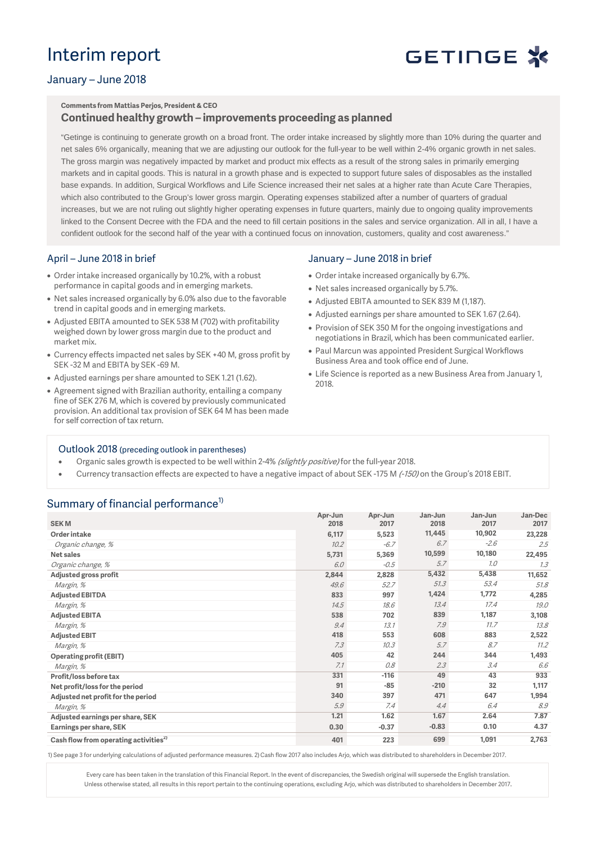## Interim report

# GETINGE \*

### January – June 2018

## **Comments from Mattias Perjos, President & CEO**

### **Continued healthy growth – improvements proceeding as planned**

"Getinge is continuing to generate growth on a broad front. The order intake increased by slightly more than 10% during the quarter and net sales 6% organically, meaning that we are adjusting our outlook for the full-year to be well within 2-4% organic growth in net sales. The gross margin was negatively impacted by market and product mix effects as a result of the strong sales in primarily emerging markets and in capital goods. This is natural in a growth phase and is expected to support future sales of disposables as the installed base expands. In addition, Surgical Workflows and Life Science increased their net sales at a higher rate than Acute Care Therapies, which also contributed to the Group's lower gross margin. Operating expenses stabilized after a number of quarters of gradual increases, but we are not ruling out slightly higher operating expenses in future quarters, mainly due to ongoing quality improvements linked to the Consent Decree with the FDA and the need to fill certain positions in the sales and service organization. All in all, I have a confident outlook for the second half of the year with a continued focus on innovation, customers, quality and cost awareness."

### April – June 2018 in brief

- Order intake increased organically by 10.2%, with a robust performance in capital goods and in emerging markets.
- Net sales increased organically by 6.0% also due to the favorable trend in capital goods and in emerging markets.
- Adjusted EBITA amounted to SEK 538 M (702) with profitability weighed down by lower gross margin due to the product and market mix.
- Currency effects impacted net sales by SEK +40 M, gross profit by SEK -32 M and EBITA by SEK -69 M.
- Adjusted earnings per share amounted to SEK 1.21 (1.62).
- Agreement signed with Brazilian authority, entailing a company fine of SEK 276 M, which is covered by previously communicated provision. An additional tax provision of SEK 64 M has been made for self correction of tax return.

### January – June 2018 in brief

- Order intake increased organically by 6.7%.
- Net sales increased organically by 5.7%.
- Adjusted EBITA amounted to SEK 839 M (1,187).
- Adjusted earnings per share amounted to SEK 1.67 (2.64).
- Provision of SEK 350 M for the ongoing investigations and negotiations in Brazil, which has been communicated earlier.
- Paul Marcun was appointed President Surgical Workflows Business Area and took office end of June.
- Life Science is reported as a new Business Area from January 1, 2018.

### Outlook 2018 (preceding outlook in parentheses)

- Organic sales growth is expected to be well within 2-4% (slightly positive) for the full-year 2018.
- Currency transaction effects are expected to have a negative impact of about SEK -175 M (-150) on the Group's 2018 EBIT.

### Summary of financial performance<sup>1)</sup>

| <b>SEKM</b>                                       | Apr-Jun<br>2018 | Apr-Jun<br>2017 | Jan-Jun<br>2018 | Jan-Jun<br>2017 | Jan-Dec<br>2017 |
|---------------------------------------------------|-----------------|-----------------|-----------------|-----------------|-----------------|
| Order intake                                      | 6,117           | 5,523           | 11,445          | 10,902          | 23,228          |
| Organic change, %                                 | 10.2            | $-6.7$          | 6.7             | $-2.6$          | 2.5             |
| <b>Net sales</b>                                  | 5,731           | 5,369           | 10,599          | 10,180          | 22,495          |
| Organic change, %                                 | 6.0             | $-0.5$          | 5.7             | 1.0             | 7.3             |
| Adjusted gross profit                             | 2,844           | 2,828           | 5,432           | 5,438           | 11,652          |
| Margin, %                                         | 49.6            | 52.7            | 51.3            | 53.4            | 51.8            |
| <b>Adjusted EBITDA</b>                            | 833             | 997             | 1,424           | 1,772           | 4,285           |
| Margin, %                                         | 14.5            | 18.6            | 13.4            | 17.4            | 19.0            |
| <b>Adjusted EBITA</b>                             | 538             | 702             | 839             | 1,187           | 3,108           |
| Margin, %                                         | 9.4             | 13.1            | 7.9             | 11.7            | 13.8            |
| <b>Adjusted EBIT</b>                              | 418             | 553             | 608             | 883             | 2,522           |
| Margin, %                                         | 7.3             | 10.3            | 5.7             | 8.7             | 11.2            |
| <b>Operating profit (EBIT)</b>                    | 405             | 42              | 244             | 344             | 1,493           |
| Margin, %                                         | 7.1             | 0.8             | 2.3             | 3.4             | 6.6             |
| Profit/loss before tax                            | 331             | $-116$          | 49              | 43              | 933             |
| Net profit/loss for the period                    | 91              | $-85$           | $-210$          | 32              | 1,117           |
| Adjusted net profit for the period                | 340             | 397             | 471             | 647             | 1,994           |
| Margin, %                                         | 5.9             | 7.4             | 4.4             | 6.4             | 8.9             |
| Adjusted earnings per share, SEK                  | 1.21            | 1.62            | 1.67            | 2.64            | 7.87            |
| Earnings per share, SEK                           | 0.30            | $-0.37$         | $-0.83$         | 0.10            | 4.37            |
| Cash flow from operating activities <sup>2)</sup> | 401             | 223             | 699             | 1,091           | 2,763           |

1) See page 3 for underlying calculations of adjusted performance measures. 2)Cash flow 2017 also includes Arjo, which was distributed to shareholders in December 2017.

Every care has been taken in the translation of this Financial Report. In the event of discrepancies, the Swedish original will supersede the English translation. Unless otherwise stated, all results in this report pertain to the continuing operations, excluding Arjo, which was distributed to shareholders in December 2017.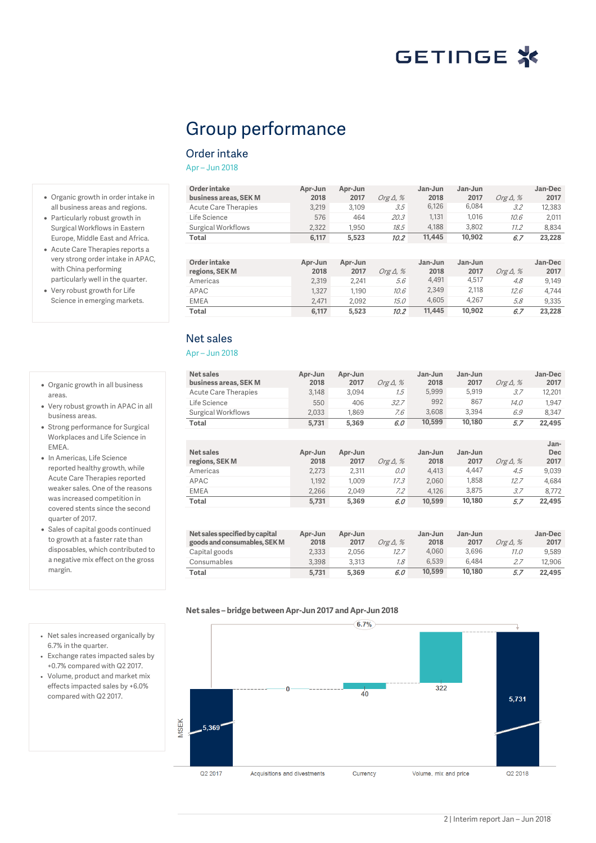## Group performance

### Order intake

Apr – Jun 2018

**Order intake business areas, SEK M Apr-Jun 2018 Apr-Jun 2017** Org Δ, % **Jan-Jun 2018 Jan-Jun 2017** *Org Δ, %*<br>6.084 *3.2* **Jan-Dec 2017** Acute Care Therapies 3,219 3,109 3.5 6,126 6,084 3.2 12,383<br>
Life Science 576 464 20.3 1,131 1,016 10.6 2.011 Life Science 576 464 20.3 1,131 1,016 10.6 2,011 Surgical Workflows 2,322 1,950 18.5 4,188 3,802 11.2 8,834<br> **Total** 6,117 5,523 10.2 11,445 10,902 6.7 23,228 **Total 6,117 5,523** 10.2 **11,445 10,902** 6.7 **23,228 Order intake regions, SEK M Apr-Jun 2018 Apr-Jun 2017** *Org Δ, %*<br>2,241 *5.6* **Jan-Jun 2018 Jan-Jun 2017** *Org Δ, %*<br>4.517 *4.8* **Jan-Dec 2017** Americas 2,319 2,241 5.6 4,491 4,517 4.8 9,149 APAC 1,327 1,190 10.6 2,349 2,118 12.6 4,744 EMEA 2,471 2,092 15.0 4,605 4,267 5.8 9,335

**Total 6,117 5,523** 10.2 **11,445 10,902** 6.7 **23,228**

Net sales

#### Apr – Jun 2018

| Net sales<br>business areas, SEK M<br><b>Acute Care Therapies</b><br>Life Science<br>Surgical Workflows | Apr-Jun<br>2018<br>3.148<br>550<br>2.033 | Apr-Jun<br>2017<br>3,094<br>406<br>1.869 | Org $\Delta$ , %<br>7.5<br>32.7<br>7.6 | Jan-Jun<br>2018<br>5.999<br>992<br>3,608 | Jan-Jun<br>2017<br>5.919<br>867<br>3.394 | Org $\Delta$ , %<br>3.7<br>14.0<br>6.9 | Jan-Dec<br>2017<br>12,201<br>1.947<br>8,347 |
|---------------------------------------------------------------------------------------------------------|------------------------------------------|------------------------------------------|----------------------------------------|------------------------------------------|------------------------------------------|----------------------------------------|---------------------------------------------|
| Total                                                                                                   | 5.731                                    | 5,369                                    | 6.0                                    | 10,599                                   | 10,180                                   | 5.7                                    | 22,495                                      |
|                                                                                                         |                                          |                                          |                                        |                                          |                                          |                                        |                                             |
|                                                                                                         |                                          |                                          |                                        |                                          |                                          |                                        | Jan-                                        |
| Net sales                                                                                               | Apr-Jun                                  | Apr-Jun                                  |                                        | Jan-Jun                                  | Jan-Jun                                  |                                        | <b>Dec</b>                                  |
| regions, SEK M                                                                                          | 2018                                     | 2017                                     | Org $\Delta$ , %                       | 2018                                     | 2017                                     | Org $\Delta$ , %                       | 2017                                        |
| Americas                                                                                                | 2,273                                    | 2,311                                    | 0.0                                    | 4,413                                    | 4,447                                    | 4.5                                    | 9,039                                       |
| APAC                                                                                                    | 1.192                                    | 1.009                                    | 17.3                                   | 2,060                                    | 1,858                                    | 12.7                                   | 4.684                                       |
| <b>EMEA</b>                                                                                             | 2.266                                    | 2,049                                    | 7.2                                    | 4,126                                    | 3,875                                    | 3.7                                    | 8,772                                       |
| Total                                                                                                   | 5.731                                    | 5,369                                    | 6.0                                    | 10,599                                   | 10,180                                   | 5.7                                    | 22,495                                      |
|                                                                                                         |                                          |                                          |                                        |                                          |                                          |                                        |                                             |
|                                                                                                         |                                          |                                          |                                        |                                          |                                          |                                        |                                             |

| Net sales specified by capital<br>goods and consumables, SEK M | Apr-Jun<br>2018 | Apr-Jun<br>2017 | Org $\Delta$ , % | Jan-Jun<br>2018 | Jan-Jun<br>2017 | Org $\Delta$ , % | Jan-Dec<br>2017 |
|----------------------------------------------------------------|-----------------|-----------------|------------------|-----------------|-----------------|------------------|-----------------|
| Capital goods                                                  | 2.333           | 2.056           | 12.7             | 4.060           | 3.696           | 11.0             | 9.589           |
| Consumables                                                    | 3.398           | 3.313           | 7.8              | 6.539           | 6.484           | 2.7              | 12.906          |
| Total                                                          | 5.731           | 5.369           | 6.0              | 10,599          | 10.180          | 5.7              | 22,495          |



• Net sales increased organically by 6.7% in the quarter.

• Organic growth in order intake in all business areas and regions. • Particularly robust growth in Surgical Workflows in Eastern Europe, Middle East and Africa. • Acute Care Therapies reports a very strong order intake in APAC, with China performing particularly well in the quarter. • Very robust growth for Life Science in emerging markets.

• Organic growth in all business

• Very robust growth in APAC in all

• Strong performance for Surgical Workplaces and Life Science in

• Sales of capital goods continued to growth at a faster rate than disposables, which contributed to a negative mix effect on the gross

• In Americas, Life Science reported healthy growth, while Acute Care Therapies reported weaker sales. One of the reasons was increased competition in covered stents since the second

areas.

EMEA.

business areas.

quarter of 2017.

margin.

- Exchange rates impacted sales by +0.7% compared with Q2 2017.
- Volume, product and market mix effects impacted sales by +6.0% compared with Q2 2017.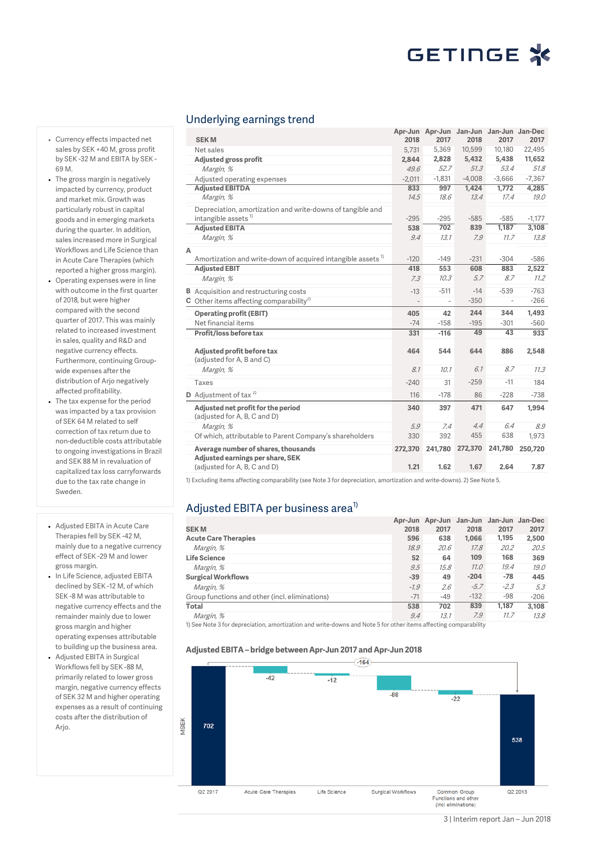#### Underlying earnings trend

| <b>SEKM</b>                                                                                   | 2018                     | Apr-Jun Apr-Jun Jan-Jun Jan-Jun Jan-Dec<br>2017 | 2018     | 2017                     | 2017     |
|-----------------------------------------------------------------------------------------------|--------------------------|-------------------------------------------------|----------|--------------------------|----------|
| Net sales                                                                                     | 5,731                    | 5,369                                           | 10,599   | 10,180                   | 22,495   |
| Adjusted gross profit                                                                         | 2,844                    | 2,828                                           | 5,432    | 5,438                    | 11,652   |
| Margin, %                                                                                     | 49.6                     | 52.7                                            | 51.3     | 53.4                     | 51.8     |
| Adjusted operating expenses                                                                   | $-2.011$                 | $-1,831$                                        | $-4,008$ | $-3,666$                 | $-7,367$ |
| <b>Adjusted EBITDA</b>                                                                        | 833                      | 997                                             | 1,424    | 1.772                    | 4.285    |
| Margin, %                                                                                     | 14.5                     | 18.6                                            | 13.4     | 17.4                     | 19.0     |
| Depreciation, amortization and write-downs of tangible and<br>intangible assets <sup>1)</sup> | $-295$                   | $-295$                                          | $-585$   | $-585$                   | $-1.177$ |
| <b>Adjusted EBITA</b>                                                                         | 538                      | 702                                             | 839      | 1,187                    | 3,108    |
| Margin, %                                                                                     | 9.4                      | 13.1                                            | 7.9      | 11.7                     | 13.8     |
| А                                                                                             |                          |                                                 |          |                          |          |
| Amortization and write-down of acquired intangible assets <sup>1)</sup>                       | $-120$                   | $-149$                                          | $-231$   | $-304$                   | $-586$   |
| <b>Adjusted EBIT</b>                                                                          | 418                      | 553                                             | 608      | 883                      | 2,522    |
| Margin, %                                                                                     | 7.3                      | 10.3                                            | 5.7      | 8.7                      | 11.2     |
| <b>B</b> Acquisition and restructuring costs                                                  | $-13$                    | $-511$                                          | $-14$    | $-539$                   | $-763$   |
| <b>C</b> Other items affecting comparability <sup>2)</sup>                                    | $\overline{\phantom{a}}$ | $\overline{\phantom{a}}$                        | $-350$   | $\overline{\phantom{a}}$ | $-266$   |
| <b>Operating profit (EBIT)</b>                                                                | 405                      | 42                                              | 244      | 344                      | 1,493    |
| Net financial items                                                                           | $-74$                    | $-158$                                          | $-195$   | $-301$                   | $-560$   |
| Profit/loss before tax                                                                        | 331                      | $-116$                                          | 49       | 43                       | 933      |
| Adjusted profit before tax<br>(adjusted for A, B and C)                                       | 464                      | 544                                             | 644      | 886                      | 2,548    |
| Margin, %                                                                                     | 8.1                      | 10.1                                            | 6.1      | 8.7                      | 11.3     |
| Taxes                                                                                         | $-240$                   | 31                                              | $-259$   | $-11$                    | 184      |
| $D$ Adjustment of tax <sup>2)</sup>                                                           | 116                      | $-178$                                          | 86       | $-228$                   | $-738$   |
| Adjusted net profit for the period<br>(adjusted for A, B, C and D)                            | 340                      | 397                                             | 471      | 647                      | 1.994    |
| Margin, %                                                                                     | 5.9                      | 7.4                                             | 4.4      | 6.4                      | 8.9      |
| Of which, attributable to Parent Company's shareholders                                       | 330                      | 392                                             | 455      | 638                      | 1,973    |
| Average number of shares, thousands                                                           | 272,370                  | 241,780                                         | 272,370  | 241,780                  | 250,720  |
| Adjusted earnings per share, SEK<br>(adjusted for A, B, C and D)                              | 1.21                     | 1.62                                            | 1.67     | 2.64                     | 7.87     |

1) Excluding items affecting comparability (see Note 3 for depreciation, amortization and write-downs). 2) See Note 5.

### Adjusted EBITA per business area<sup>1)</sup>

|                                                | Apr-Jun |       | Apr-Jun Jan-Jun Jan-Jun Jan-Dec |        |        |
|------------------------------------------------|---------|-------|---------------------------------|--------|--------|
| <b>SEKM</b>                                    | 2018    | 2017  | 2018                            | 2017   | 2017   |
| <b>Acute Care Therapies</b>                    | 596     | 638   | 1,066                           | 1,195  | 2,500  |
| Margin, %                                      | 18.9    | 20.6  | 17.8                            | 20.2   | 20.5   |
| <b>Life Science</b>                            | 52      | 64    | 109                             | 168    | 369    |
| Margin, %                                      | 9.5     | 15.8  | 11.0                            | 19.4   | 19.0   |
| <b>Surgical Workflows</b>                      | $-39$   | 49    | $-204$                          | $-78$  | 445    |
| Margin, %                                      | $-1.9$  | 2.6   | $-5.7$                          | $-2.3$ | 5.3    |
| Group functions and other (incl. eliminations) | $-71$   | $-49$ | $-132$                          | $-98$  | $-206$ |
| <b>Total</b>                                   | 538     | 702   | 839                             | 1.187  | 3.108  |
| Margin, %                                      | 9.4     | 13.1  | 7.9                             | 11.7   | 13.8   |

1) See Note 3 for depreciation, amortization and write-downs and Note 5 for other items affecting comparability

#### **Adjusted EBITA – bridge between Apr-Jun 2017 and Apr-Jun 2018**



- Currency effects impacted net sales by SEK +40 M, gross profit by SEK -32 M and EBITA by SEK - 69 M.
- The gross margin is negatively impacted by currency, product and market mix. Growth was particularly robust in capital goods and in emerging markets during the quarter. In addition, sales increased more in Surgical Workflows and Life Science than in Acute Care Therapies (which reported a higher gross margin).
- Operating expenses were in line with outcome in the first quarter of 2018, but were higher compared with the second quarter of 2017. This was mainly related to increased investment in sales, quality and R&D and negative currency effects. Furthermore, continuing Groupwide expenses after the distribution of Arjo negatively affected profitability.
- The tax expense for the period was impacted by a tax provision of SEK 64 M related to self correction of tax return due to non-deductible costs attributable to ongoing investigations in Brazil and SEK 88 M in revaluation of capitalized tax loss carryforwards due to the tax rate change in Sweden.
- Adjusted EBITA in Acute Care Therapies fell by SEK -42 M, mainly due to a negative currency effect of SEK -29 M and lower gross margin.
- In Life Science, adjusted EBITA declined by SEK -12 M, of which SEK -8 M was attributable to negative currency effects and the remainder mainly due to lower gross margin and higher operating expenses attributable to building up the business area.
- Adjusted EBITA in Surgical Workflows fell by SEK -88 M, primarily related to lower gross margin, negative currency effects of SEK 32 M and higher operating expenses as a result of continuing costs after the distribution of Arjo.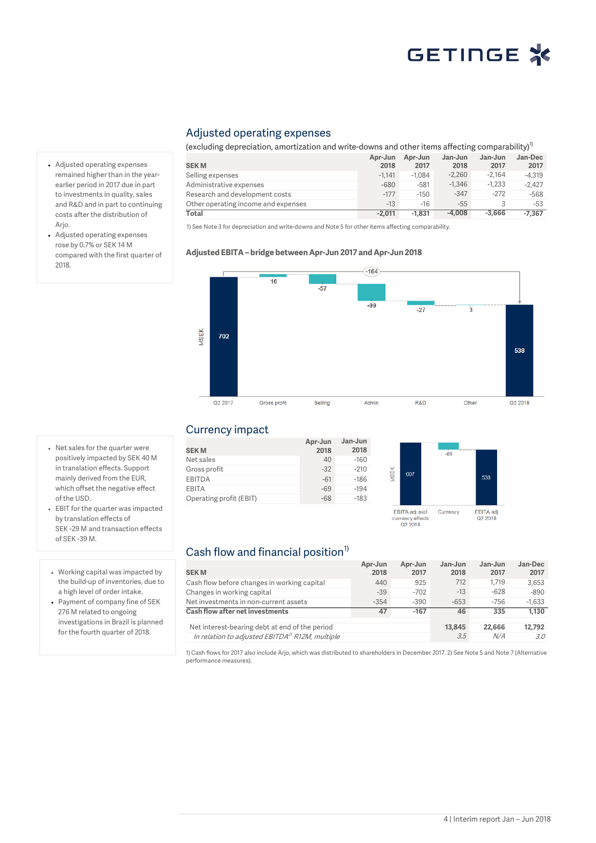### Adjusted operating expenses

(excluding depreciation, amortization and write-downs and other items affecting comparability)<sup>1)</sup>

|                                     | Apr-Jun  | Apr-Jun  | Jan-Jun  | Jan-Jun  | Jan-Dec  |
|-------------------------------------|----------|----------|----------|----------|----------|
| <b>SEKM</b>                         | 2018     | 2017     | 2018     | 2017     | 2017     |
| Selling expenses                    | $-1.141$ | $-1.084$ | $-2.260$ | $-2.164$ | $-4.319$ |
| Administrative expenses             | $-680$   | $-581$   | $-1.346$ | $-1.233$ | $-2.427$ |
| Research and development costs      | $-177$   | $-150$   | $-347$   | $-272$   | $-568$   |
| Other operating income and expenses | $-13$    | $-16$    | $-55$    |          | $-53$    |
| Total                               | $-2.011$ | $-1.831$ | $-4.008$ | $-3.666$ | $-7.367$ |

1) See Note 3 for depreciation and write-downs and Note 5 for other items affecting comparability.

#### **Adjusted EBITA – bridge between Apr-Jun 2017 and Apr-Jun 2018**



#### Currency impact

| <b>SEKM</b>             | Apr-Jun<br>2018 | Jan-Jun<br>2018 |
|-------------------------|-----------------|-----------------|
| Net sales               | 40              | $-160$          |
| Gross profit            | $-32$           | $-210$          |
| <b>EBITDA</b>           | $-61$           | $-186$          |
| EBITA                   | $-69$           | $-194$          |
| Operating profit (EBIT) | $-68$           | $-183$          |
|                         |                 |                 |



### Cash flow and financial position $1$ )

|                                                             | Apr-Jun | Apr-Jun | Jan-Jun | Jan-Jun | Jan-Dec  |
|-------------------------------------------------------------|---------|---------|---------|---------|----------|
| <b>SEKM</b>                                                 | 2018    | 2017    | 2018    | 2017    | 2017     |
| Cash flow before changes in working capital                 | 440     | 925     | 712     | 1.719   | 3.653    |
| Changes in working capital                                  | $-39$   | $-702$  | $-13$   | $-628$  | $-890$   |
| Net investments in non-current assets                       | $-354$  | $-390$  | $-653$  | $-756$  | $-1.633$ |
| Cash flow after net investments                             | 47      | $-167$  | 46      | 335     | 1.130    |
| Net interest-bearing debt at end of the period              |         |         | 13,845  | 22,666  | 12,792   |
| In relation to adjusted EBITDA <sup>2)</sup> R12M, multiple |         |         | 3.5     | N/A     | 3.0      |

1)Cash flows for 2017 also include Arjo, which was distributed to shareholders in December 2017. 2) See Note 5 and Note 7 (Alternative performance measures).

- Adjusted operating expenses remained higher than in the yearearlier period in 2017 due in part to investments in quality, sales and R&D and in part to continuing costs after the distribution of Arjo.
- Adjusted operating expenses rose by 0.7% or SEK 14 M compared with the first quarter of 2018.

- Net sales for the quarter were positively impacted by SEK 40 M in translation effects. Support mainly derived from the EUR, which offset the negative effect of the USD.
- EBIT for the quarter was impacted by translation effects of SEK -29 M and transaction effects of SEK -39 M.
- Working capital was impacted by the build-up of inventories, due to a high level of order intake.
- Payment of company fine of SEK 276 M related to ongoing investigations in Brazil is planned for the fourth quarter of 2018.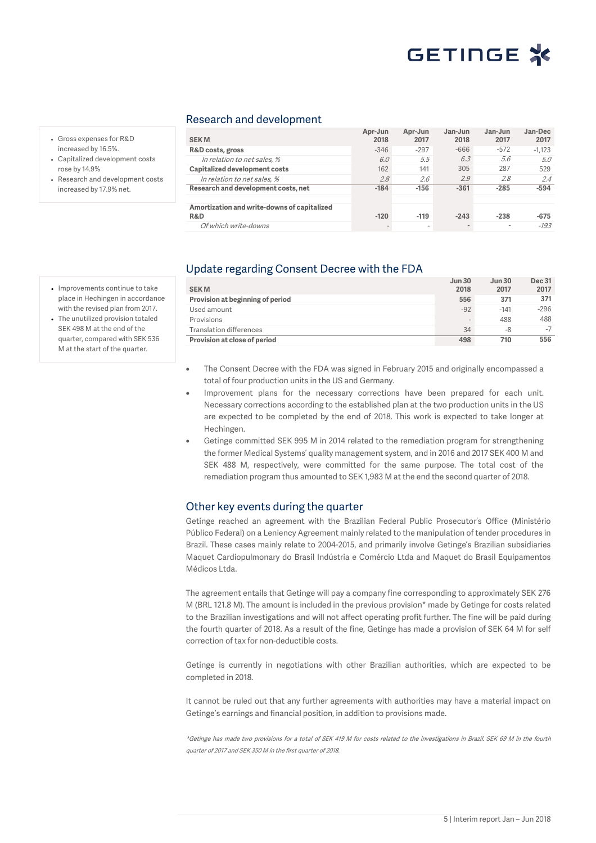#### Research and development

| <b>SEKM</b>                                 | Apr-Jun<br>2018 | Apr-Jun<br>2017 | Jan-Jun<br>2018 | Jan-Jun<br>2017 | Jan-Dec<br>2017 |
|---------------------------------------------|-----------------|-----------------|-----------------|-----------------|-----------------|
| R&D costs, gross                            | $-346$          | $-297$          | $-666$          | $-572$          | $-1.123$        |
| In relation to net sales, %                 | 6.0             | 5.5             | 6.3             | 5.6             | 5.0             |
| Capitalized development costs               | 162             | 141             | 305             | 287             | 529             |
| In relation to net sales. %                 | 2.8             | 2.6             | 2.9             | 2.8             | 2.4             |
| Research and development costs, net         | $-184$          | $-156$          | $-361$          | $-285$          | $-594$          |
|                                             |                 |                 |                 |                 |                 |
| Amortization and write-downs of capitalized |                 |                 |                 |                 |                 |
| <b>R&amp;D</b>                              | $-120$          | $-119$          | $-243$          | $-238$          | $-675$          |
| Of which write-downs                        |                 |                 |                 |                 | $-193$          |

- Gross expenses for R&D increased by 16.5%.
- Capitalized development costs rose by 14.9%
- Research and development costs increased by 17.9% net.

### Update regarding Consent Decree with the FDA

| <b>SEKM</b>                      | <b>Jun 30</b><br>2018    | Jun 30<br>2017 | <b>Dec 31</b><br>2017 |
|----------------------------------|--------------------------|----------------|-----------------------|
| Provision at beginning of period | 556                      | 371            | 371                   |
| Used amount                      | $-92$                    | $-141$         | $-296$                |
| Provisions                       | $\overline{\phantom{a}}$ | 488            | 488                   |
| <b>Translation differences</b>   | 34                       | -8             | $-7$                  |
| Provision at close of period     | 498                      | 710            | 556                   |

- The Consent Decree with the FDA was signed in February 2015 and originally encompassed a total of four production units in the US and Germany.
- Improvement plans for the necessary corrections have been prepared for each unit. Necessary corrections according to the established plan at the two production units in the US are expected to be completed by the end of 2018. This work is expected to take longer at Hechingen.
- Getinge committed SEK 995 M in 2014 related to the remediation program for strengthening the former Medical Systems' quality management system, and in 2016 and 2017 SEK 400 M and SEK 488 M, respectively, were committed for the same purpose. The total cost of the remediation program thus amounted to SEK 1,983 M at the end the second quarter of 2018.

### Other key events during the quarter

Getinge reached an agreement with the Brazilian Federal Public Prosecutor's Office (Ministério Público Federal) on a Leniency Agreement mainly related to the manipulation of tender procedures in Brazil. These cases mainly relate to 2004-2015, and primarily involve Getinge's Brazilian subsidiaries Maquet Cardiopulmonary do Brasil Indústria e Comércio Ltda and Maquet do Brasil Equipamentos Médicos Ltda.

The agreement entails that Getinge will pay a company fine corresponding to approximately SEK 276 M (BRL 121.8 M). The amount is included in the previous provision\* made by Getinge for costs related to the Brazilian investigations and will not affect operating profit further. The fine will be paid during the fourth quarter of 2018. As a result of the fine, Getinge has made a provision of SEK 64 M for self correction of tax for non-deductible costs.

Getinge is currently in negotiations with other Brazilian authorities, which are expected to be completed in 2018.

It cannot be ruled out that any further agreements with authorities may have a material impact on Getinge's earnings and financial position, in addition to provisions made.

\*Getinge has made two provisions for a total of SEK 419 M for costs related to the investigations in Brazil. SEK 69 M in the fourth quarter of 2017 and SEK 350 M in the first quarter of 2018.

• Improvements continue to take place in Hechingen in accordance with the revised plan from 2017.

• The unutilized provision totaled SEK 498 M at the end of the quarter, compared with SEK 536 M at the start of the quarter.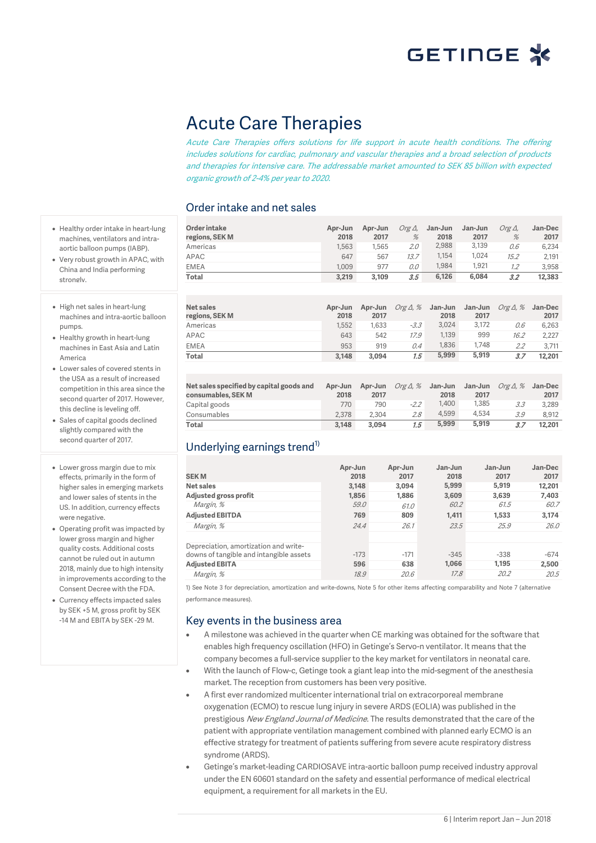

## Acute Care Therapies

Acute Care Therapies offers solutions for life support in acute health conditions. The offering includes solutions for cardiac, pulmonary and vascular therapies and a broad selection of products and therapies for intensive care. The addressable market amounted to SEK 85 billion with expected organic growth of 2-4% per year to 2020.

### Order intake and net sales

- Healthy order intake in heart-lung machines, ventilators and intraaortic balloon pumps (IABP).
- Very robust growth in APAC, with China and India performing strongly.
- High net sales in heart-lung machines and intra-aortic balloon pumps.
- Healthy growth in heart-lung machines in East Asia and Latin America
- Lower sales of covered stents in the USA as a result of increased competition in this area since the second quarter of 2017. However, this decline is leveling off.
- Sales of capital goods declined slightly compared with the second quarter of 2017.
- Lower gross margin due to mix effects, primarily in the form of higher sales in emerging markets and lower sales of stents in the US. In addition, currency effects were negative.
- Operating profit was impacted by lower gross margin and higher quality costs. Additional costs cannot be ruled out in autumn 2018, mainly due to high intensity in improvements according to the Consent Decree with the FDA.
- Currency effects impacted sales by SEK +5 M, gross profit by SEK -14 M and EBITA by SEK -29 M.

| Order intake<br>regions, SEK M | Apr-Jun<br>2018 | Apr-Jun<br>2017 | $Org\Delta$ ,<br>% | Jan-Jun<br>2018 | Jan-Jun<br>2017 | $O$ rg $\Delta$ .<br>% | <b>Jan-Dec</b><br>2017 |
|--------------------------------|-----------------|-----------------|--------------------|-----------------|-----------------|------------------------|------------------------|
| Americas                       | 1.563           | 1.565           | 2.0                | 2,988           | 3,139           | 0.6                    | 6.234                  |
| APAC                           | 647             | 567             | 13.7               | 1,154           | 1.024           | 15.2                   | 2.191                  |
| <b>EMEA</b>                    | 1.009           | 977             | 0.0                | 1.984           | 1.921           | 1.2                    | 3.958                  |
| Total                          | 3,219           | 3.109           | 3.5                | 6,126           | 6.084           | 3.2                    | 12,383                 |
|                                |                 |                 |                    |                 |                 |                        |                        |

| <b>Net sales</b><br>regions, SEK M | Apr-Jun<br>2018 | Apr-Jun<br>2017 | Org $\Delta$ , % | Jan-Jun<br>2018 | Jan-Jun<br>2017 | Org $\Delta$ , % | Jan-Dec<br>2017 |
|------------------------------------|-----------------|-----------------|------------------|-----------------|-----------------|------------------|-----------------|
| Americas                           | 1.552           | 1.633           | $-3.3$           | 3.024           | 3.172           | 0.6              | 6.263           |
| APAC                               | 643             | 542             | 17.9             | 1.139           | 999             | 16.2             | 2.227           |
| <b>EMEA</b>                        | 953             | 919             | 0.4              | 1.836           | 1.748           | 2.2              | 3.711           |
| <b>Total</b>                       | 3.148           | 3.094           | 1.5              | 5.999           | 5,919           | 3.7              | 12,201          |
|                                    |                 |                 |                  |                 |                 |                  |                 |

| Net sales specified by capital goods and<br>consumables, SEK M | Apr-Jun<br>2018 | Apr-Jun<br>2017 | Org $\Delta$ , % | Jan-Jun<br>2018 | Jan-Jun<br>2017 | <i>Org 1, %</i> | Jan-Dec<br>2017 |
|----------------------------------------------------------------|-----------------|-----------------|------------------|-----------------|-----------------|-----------------|-----------------|
| Capital goods                                                  | 770             | 790             | $-2.2$           | 1.400           | 1.385           | 3.3             | 3.289           |
| Consumables                                                    | 2.378           | 2.304           | 2.8              | 4.599           | 4.534           | 3.9             | 8.912           |
| Total                                                          | 3.148           | 3.094           | 1.5              | 5.999           | 5.919           | 3.7             | 12,201          |

### Underlying earnings trend<sup>1)</sup>

| <b>SEKM</b>                             | Apr-Jun<br>2018 | Apr-Jun<br>2017 | Jan-Jun<br>2018 | Jan-Jun<br>2017 | Jan-Dec<br>2017 |
|-----------------------------------------|-----------------|-----------------|-----------------|-----------------|-----------------|
| Net sales                               | 3,148           | 3.094           | 5,999           | 5,919           | 12,201          |
| Adjusted gross profit                   | 1.856           | 1.886           | 3,609           | 3,639           | 7,403           |
| Margin, %                               | 59.0            | 61.0            | 60.2            | 61.5            | 60.7            |
| <b>Adjusted EBITDA</b>                  | 769             | 809             | 1.411           | 1,533           | 3,174           |
| Margin, %                               | 24.4            | 26.1            | 23.5            | 25.9            | 26.0            |
|                                         |                 |                 |                 |                 |                 |
| Depreciation, amortization and write-   |                 |                 |                 |                 |                 |
| downs of tangible and intangible assets | $-173$          | $-171$          | $-345$          | $-338$          | $-674$          |
| <b>Adjusted EBITA</b>                   | 596             | 638             | 1.066           | 1.195           | 2,500           |
| Margin, %                               | 18.9            | 20.6            | 17.8            | 20.2            | 20.5            |

1) See Note 3 for depreciation, amortization and write-downs, Note 5 for other items affecting comparability and Note 7 (alternative performance measures).

### Key events in the business area

- A milestone was achieved in the quarter when CE marking was obtained for the software that enables high frequency oscillation (HFO) in Getinge's Servo-n ventilator. It means that the company becomes a full-service supplier to the key market for ventilators in neonatal care.
- With the launch of Flow-c, Getinge took a giant leap into the mid-segment of the anesthesia market. The reception from customers has been very positive.
- A first ever randomized multicenter international trial on extracorporeal membrane oxygenation (ECMO) to rescue lung injury in severe ARDS (EOLIA) was published in the prestigious New England Journal of Medicine. The results demonstrated that the care of the patient with appropriate ventilation management combined with planned early ECMO is an effective strategy for treatment of patients suffering from severe acute respiratory distress syndrome (ARDS).
- Getinge's market-leading CARDIOSAVE intra-aortic balloon pump received industry approval under the EN 60601 standard on the safety and essential performance of medical electrical equipment, a requirement for all markets in the EU.

6 | Interim report Jan – Jun 2018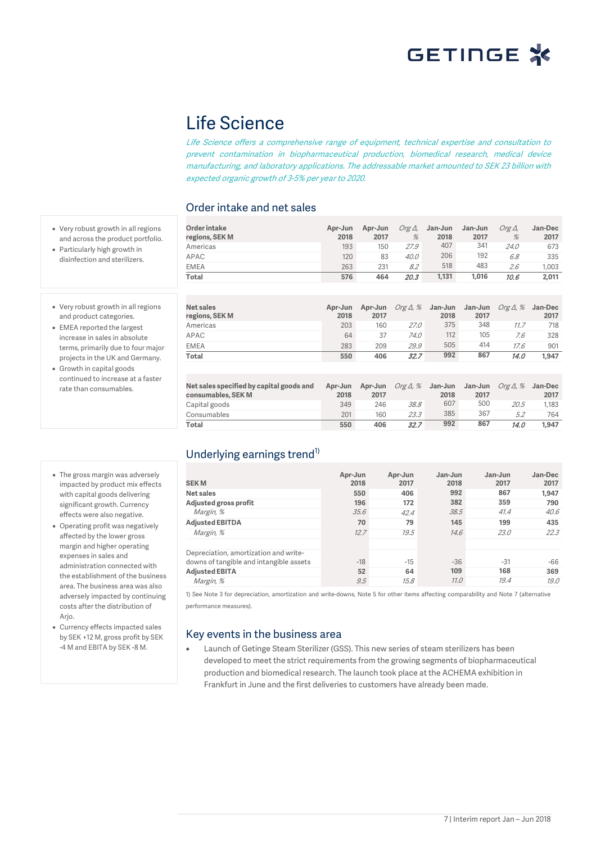## Life Science

Life Science offers a comprehensive range of equipment, technical expertise and consultation to prevent contamination in biopharmaceutical production, biomedical research, medical device manufacturing, and laboratory applications. The addressable market amounted to SEK 23 billion with expected organic growth of 3-5% per year to 2020.

### Order intake and net sales

• Very robust growth in all regions and across the product portfolio.

• Particularly high growth in disinfection and sterilizers.

- Very robust growth in all regions and product categories.
- EMEA reported the largest increase in sales in absolute terms, primarily due to four major projects in the UK and Germany.
- Growth in capital goods continued to increase at a faster rate than consumables.
- The gross margin was adversely impacted by product mix effects with capital goods delivering significant growth. Currency effects were also negative.
- Operating profit was negatively affected by the lower gross margin and higher operating expenses in sales and administration connected with the establishment of the business area. The business area was also adversely impacted by continuing costs after the distribution of Arjo.
- Currency effects impacted sales by SEK +12 M, gross profit by SEK -4 M and EBITA by SEK -8 M.

| Order intake<br>regions, SEK M | Apr-Jun<br>2018 | Apr-Jun<br>2017 | $Org\Delta$ ,<br>% | Jan-Jun<br>2018 | Jan-Jun<br>2017 | $O$ rg $\Delta$ .<br>% | <b>Jan-Dec</b><br>2017 |
|--------------------------------|-----------------|-----------------|--------------------|-----------------|-----------------|------------------------|------------------------|
| Americas                       | 193             | 150             | 27.9               | 407             | 341             | 24.0                   | 673                    |
| APAC                           | 120             | 83              | 40.0               | 206             | 192             | 6.8                    | 335                    |
| <b>EMEA</b>                    | 263             | 231             | 8.2                | 518             | 483             | 2.6                    | 1.003                  |
| Total                          | 576             | 464             | 20.3               | 1,131           | 1.016           | 10.6                   | 2,011                  |

| Net sales<br>regions, SEK M | Apr-Jun<br>2018 | 2017 | Apr-Jun Org $\Delta$ , % | Jan-Jun<br>2018 | Jan-Jun<br>2017 | Org $\Delta$ , $\%$ | Jan-Dec<br>2017 |
|-----------------------------|-----------------|------|--------------------------|-----------------|-----------------|---------------------|-----------------|
| Americas                    | 203             | 160  | 27.0                     | 375             | 348             | 11.7                | 718             |
| APAC                        | 64              | 37   | 74.0                     | 112             | 105             | 7.6                 | 328             |
| <b>EMEA</b>                 | 283             | 209  | 29.9                     | 505             | 414             | 17.6                | 901             |
| Total                       | 550             | 406  | 32.7                     | 992             | 867             | 14.0                | 1.947           |

| Net sales specified by capital goods and<br>consumables, SEK M | Apr-Jun<br>2018 | Apr-Jun<br>2017 | Org $\Delta$ , $\%$ Jan-Jun | 2018 | Jan-Jun<br>2017 | <i>Org 4. %</i> | Jan-Dec<br>2017 |
|----------------------------------------------------------------|-----------------|-----------------|-----------------------------|------|-----------------|-----------------|-----------------|
| Capital goods                                                  | 349             | 246             | 38.8                        | 607  | 500             | 20.5            | 1.183           |
| Consumables                                                    | 201             | 160             | 23.3                        | 385  | 367             | 5.2             | 764             |
| Total                                                          | 550             | 406             | 32.7                        | 992  | 867             | 14.0            | 1.947           |

### Underlying earnings trend<sup>1)</sup>

| <b>SEKM</b>                             | Apr-Jun<br>2018 | Apr-Jun<br>2017 | Jan-Jun<br>2018<br>992 | Jan-Jun<br>2017<br>867 | Jan-Dec<br>2017 |
|-----------------------------------------|-----------------|-----------------|------------------------|------------------------|-----------------|
| Net sales                               | 550             | 406             |                        |                        | 1,947           |
| Adjusted gross profit                   | 196             | 172             | 382                    | 359                    | 790             |
| Margin, %                               | 35.6            | 42.4            | 38.5                   | 41.4                   | 40.6            |
| <b>Adjusted EBITDA</b>                  | 70              | 79              | 145                    | 199                    | 435             |
| Margin, %                               | 12.7            | 19.5            | 14.6                   | 23.0                   | 22.3            |
| Depreciation, amortization and write-   |                 |                 |                        |                        |                 |
| downs of tangible and intangible assets | $-18$           | $-15$           | $-36$                  | $-31$                  | -66             |
| <b>Adjusted EBITA</b>                   | 52              | 64              | 109                    | 168                    | 369             |
| Margin, %                               | 9.5             | 15.8            | 11.0                   | 19.4                   | 19.0            |

1) See Note 3 for depreciation, amortization and write-downs, Note 5 for other items affecting comparability and Note 7 (alternative performance measures).

### Key events in the business area

• Launch of Getinge Steam Sterilizer (GSS). This new series of steam sterilizers has been developed to meet the strict requirements from the growing segments of biopharmaceutical production and biomedical research. The launch took place at the ACHEMA exhibition in Frankfurt in June and the first deliveries to customers have already been made.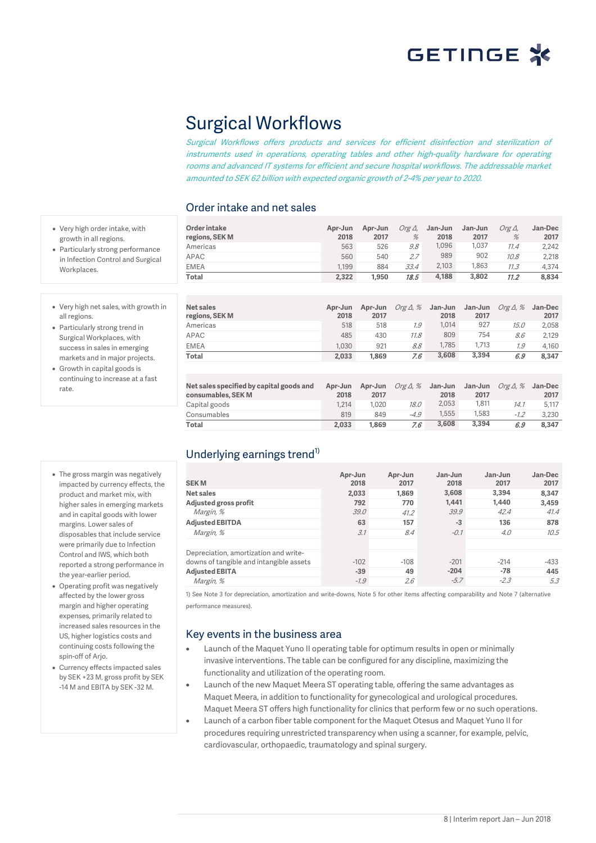

## Surgical Workflows

Surgical Workflows offers products and services for efficient disinfection and sterilization of instruments used in operations, operating tables and other high-quality hardware for operating rooms and advanced IT systems for efficient and secure hospital workflows. The addressable market amounted to SEK 62 billion with expected organic growth of 2-4% per year to 2020.

### Order intake and net sales

**Net sales regions, SEK M**

| Order intake<br>regions, SEK M | Apr-Jun<br>2018 | Apr-Jun<br>2017 | Org $\Delta$ ,<br>% | Jan-Jun<br>2018 | Jan-Jun<br>2017 | Org∆.<br>% | Jan-Dec<br>2017 |
|--------------------------------|-----------------|-----------------|---------------------|-----------------|-----------------|------------|-----------------|
| Americas                       | 563             | 526             | 9.8                 | 1.096           | 1.037           | 11.4       | 2.242           |
| APAC                           | 560             | 540             | 2.7                 | 989             | 902             | 10.8       | 2.218           |
| <b>EMEA</b>                    | 1.199           | 884             | 33.4                | 2,103           | 1.863           | 11.3       | 4.374           |
| Total                          | 2.322           | 1.950           | 18.5                | 4.188           | 3,802           | 11.2       | 8.834           |

**2017**

Americas 518 518 1.9 1,014 927 15.0 2,058 APAC 485 430 11.8 809 754 8.6 2,129 EMEA 1,030 921 8.8 1,785 1,713 1.9 4,160 **Total 2,033 1,869** 7.6 **3,608 3,394** 6.9 **8,347**

> **Apr-Jun 2017**

Capital goods 1,214 1,020 18.0 2,053 1,811 14.1 5,117 Consumables 819 849 -4.9 1,555 1,583 -1.2 3,230 **Total 2,033 1,869** 7.6 **3,608 3,394** 6.9 **8,347**

**Apr-Jun** Org Δ, % **Jan-Jun**

Org Δ, % **Jan-Jun**

**2018**

**2018**

**Jan-Jun**  Org Δ, % **Jan-Dec** 

Org Δ, % **Jan-Dec** 

**2017**

**2017**

**2017**

**Jan-Jun 2017**

**Apr-Jun 2018**

**Apr-Jun 2018**

| • Very high net sales, with growth in |  |
|---------------------------------------|--|
| all regions.                          |  |

• Particularly strong trend in Surgical Workplaces, with success in sales in emerging markets and in major projects.

• Very high order intake, with growth in all regions. • Particularly strong performance in Infection Control and Surgical

Workplaces.

- Growth in capital goods is continuing to increase at a fast rate
- The gross margin was negatively impacted by currency effects, the product and market mix, with higher sales in emerging markets and in capital goods with lower margins. Lower sales of disposables that include service were primarily due to Infection Control and IWS, which both reported a strong performance in the year-earlier period.
- Operating profit was negatively affected by the lower gross margin and higher operating expenses, primarily related to increased sales resources in the US, higher logistics costs and continuing costs following the spin-off of Arjo.
- Currency effects impacted sales by SEK +23 M, gross profit by SEK -14 M and EBITA by SEK -32 M.

| Underlying earnings trend <sup>1)</sup> |  |
|-----------------------------------------|--|

**Net sales specified by capital goods and** 

**consumables, SEK M**

| <b>SEKM</b><br>Net sales<br>Adjusted gross profit<br>Margin, %<br><b>Adjusted EBITDA</b><br>Margin, %                  | Apr-Jun<br>2018<br>2,033<br>792<br>39.0<br>63<br>3.1 | Apr-Jun<br>2017<br>1.869<br>770<br>41.2<br>157<br>8.4 | Jan-Jun<br>2018<br>3,608<br>1.441<br>39.9<br>$-3$<br>$-0.1$ | Jan-Jun<br>2017<br>3.394<br>1.440<br>42.4<br>136<br>4.0 | Jan-Dec<br>2017<br>8,347<br>3,459<br>41.4<br>878<br>10.5 |
|------------------------------------------------------------------------------------------------------------------------|------------------------------------------------------|-------------------------------------------------------|-------------------------------------------------------------|---------------------------------------------------------|----------------------------------------------------------|
| Depreciation, amortization and write-<br>downs of tangible and intangible assets<br><b>Adjusted EBITA</b><br>Margin, % | $-102$<br>$-39$<br>$-1.9$                            | $-108$<br>49<br>2.6                                   | $-201$<br>$-204$<br>$-5.7$                                  | $-214$<br>$-78$<br>$-2.3$                               | $-433$<br>445<br>5.3                                     |

1) See Note 3 for depreciation, amortization and write-downs, Note 5 for other items affecting comparability and Note 7 (alternative performance measures).

### Key events in the business area

- Launch of the Maquet Yuno II operating table for optimum results in open or minimally invasive interventions. The table can be configured for any discipline, maximizing the functionality and utilization of the operating room.
- Launch of the new Maquet Meera ST operating table, offering the same advantages as Maquet Meera, in addition to functionality for gynecological and urological procedures. Maquet Meera ST offers high functionality for clinics that perform few or no such operations.
- Launch of a carbon fiber table component for the Maquet Otesus and Maquet Yuno II for procedures requiring unrestricted transparency when using a scanner, for example, pelvic, cardiovascular, orthopaedic, traumatology and spinal surgery.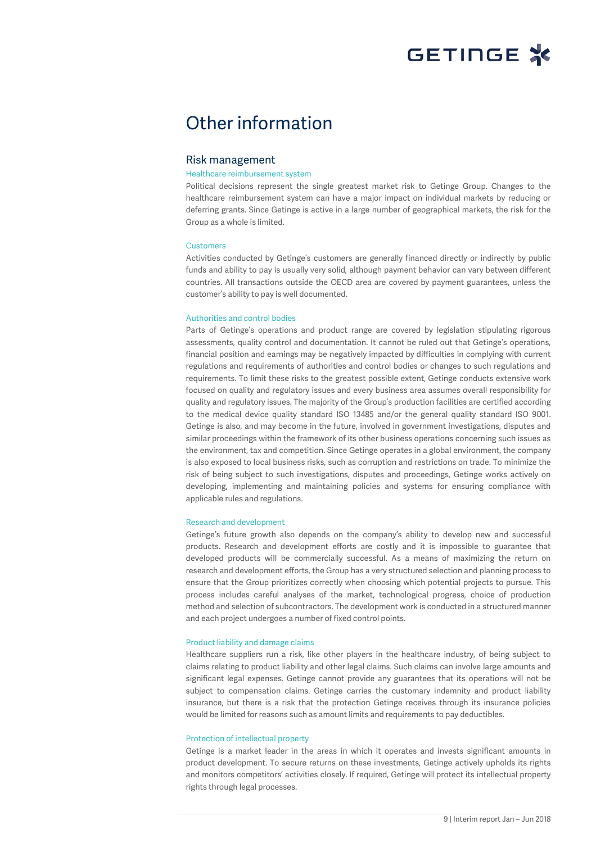

## Other information

#### Risk management

#### Healthcare reimbursement system

Political decisions represent the single greatest market risk to Getinge Group. Changes to the healthcare reimbursement system can have a major impact on individual markets by reducing or deferring grants. Since Getinge is active in a large number of geographical markets, the risk for the Group as a whole is limited.

#### **Customers**

Activities conducted by Getinge's customers are generally financed directly or indirectly by public funds and ability to pay is usually very solid, although payment behavior can vary between different countries. All transactions outside the OECD area are covered by payment guarantees, unless the customer's ability to pay is well documented.

#### Authorities and control bodies

Parts of Getinge's operations and product range are covered by legislation stipulating rigorous assessments, quality control and documentation. It cannot be ruled out that Getinge's operations, financial position and earnings may be negatively impacted by difficulties in complying with current regulations and requirements of authorities and control bodies or changes to such regulations and requirements. To limit these risks to the greatest possible extent, Getinge conducts extensive work focused on quality and regulatory issues and every business area assumes overall responsibility for quality and regulatory issues. The majority of the Group's production facilities are certified according to the medical device quality standard ISO 13485 and/or the general quality standard ISO 9001. Getinge is also, and may become in the future, involved in government investigations, disputes and similar proceedings within the framework of its other business operations concerning such issues as the environment, tax and competition. Since Getinge operates in a global environment, the company is also exposed to local business risks, such as corruption and restrictions on trade. To minimize the risk of being subject to such investigations, disputes and proceedings, Getinge works actively on developing, implementing and maintaining policies and systems for ensuring compliance with applicable rules and regulations.

#### Research and development

Getinge's future growth also depends on the company's ability to develop new and successful products. Research and development efforts are costly and it is impossible to guarantee that developed products will be commercially successful. As a means of maximizing the return on research and development efforts, the Group has a very structured selection and planning process to ensure that the Group prioritizes correctly when choosing which potential projects to pursue. This process includes careful analyses of the market, technological progress, choice of production method and selection of subcontractors. The development work is conducted in a structured manner and each project undergoes a number of fixed control points.

#### Product liability and damage claims

Healthcare suppliers run a risk, like other players in the healthcare industry, of being subject to claims relating to product liability and other legal claims. Such claims can involve large amounts and significant legal expenses. Getinge cannot provide any guarantees that its operations will not be subject to compensation claims. Getinge carries the customary indemnity and product liability insurance, but there is a risk that the protection Getinge receives through its insurance policies would be limited for reasons such as amount limits and requirements to pay deductibles.

#### Protection of intellectual property

Getinge is a market leader in the areas in which it operates and invests significant amounts in product development. To secure returns on these investments, Getinge actively upholds its rights and monitors competitors' activities closely. If required, Getinge will protect its intellectual property rights through legal processes.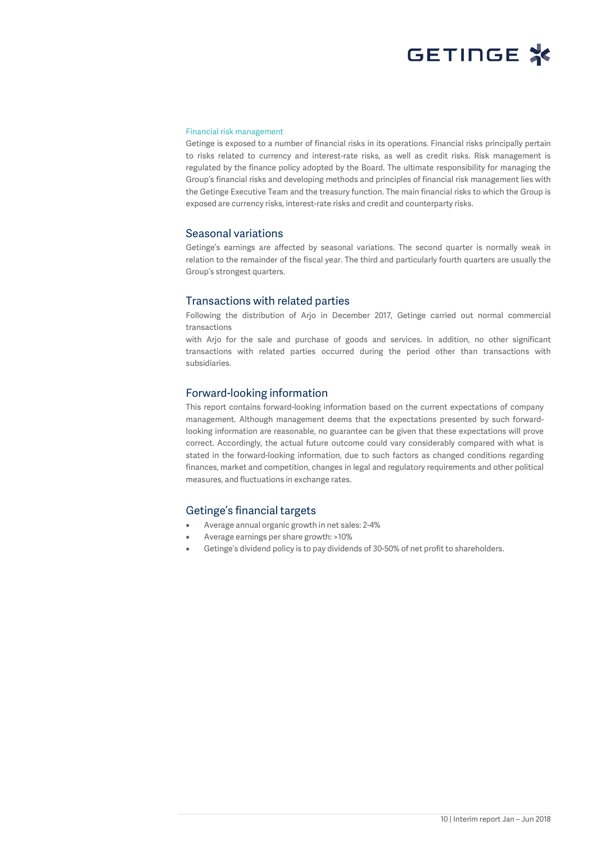#### Financial risk management

Getinge is exposed to a number of financial risks in its operations. Financial risks principally pertain to risks related to currency and interest-rate risks, as well as credit risks. Risk management is regulated by the finance policy adopted by the Board. The ultimate responsibility for managing the Group's financial risks and developing methods and principles of financial risk management lies with the Getinge Executive Team and the treasury function. The main financial risks to which the Group is exposed are currency risks, interest-rate risks and credit and counterparty risks.

#### Seasonal variations

Getinge's earnings are affected by seasonal variations. The second quarter is normally weak in relation to the remainder of the fiscal year. The third and particularly fourth quarters are usually the Group's strongest quarters.

#### Transactions with related parties

Following the distribution of Arjo in December 2017, Getinge carried out normal commercial transactions

with Arjo for the sale and purchase of goods and services. In addition, no other significant transactions with related parties occurred during the period other than transactions with subsidiaries.

#### Forward-looking information

This report contains forward-looking information based on the current expectations of company management. Although management deems that the expectations presented by such forwardlooking information are reasonable, no guarantee can be given that these expectations will prove correct. Accordingly, the actual future outcome could vary considerably compared with what is stated in the forward-looking information, due to such factors as changed conditions regarding finances, market and competition, changes in legal and regulatory requirements and other political measures, and fluctuations in exchange rates.

### Getinge's financial targets

- Average annual organic growth in net sales: 2-4%
- Average earnings per share growth: >10%
- Getinge's dividend policy is to pay dividends of 30-50% of net profit to shareholders.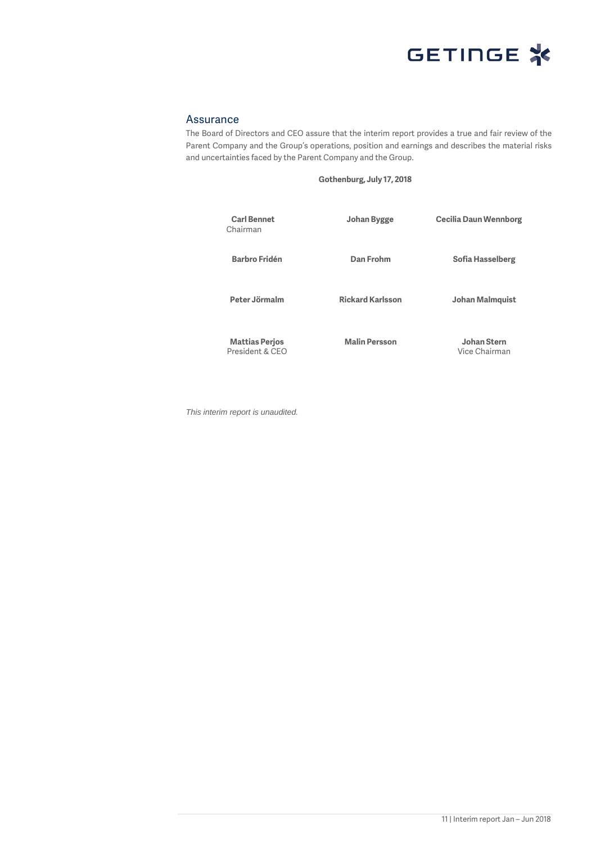

### Assurance

The Board of Directors and CEO assure that the interim report provides a true and fair review of the Parent Company and the Group's operations, position and earnings and describes the material risks and uncertainties faced by the Parent Company and the Group.

**Gothenburg, July 17, 2018**

| <b>Carl Bennet</b><br>Chairman           | Johan Bygge             | <b>Cecilia Daun Wennborg</b> |
|------------------------------------------|-------------------------|------------------------------|
| <b>Barbro Fridén</b>                     | Dan Frohm               | Sofia Hasselberg             |
| Peter Jörmalm                            | <b>Rickard Karlsson</b> | Johan Malmquist              |
| <b>Mattias Perjos</b><br>President & CFO | <b>Malin Persson</b>    | Johan Stern<br>Vice Chairman |

*This interim report is unaudited.*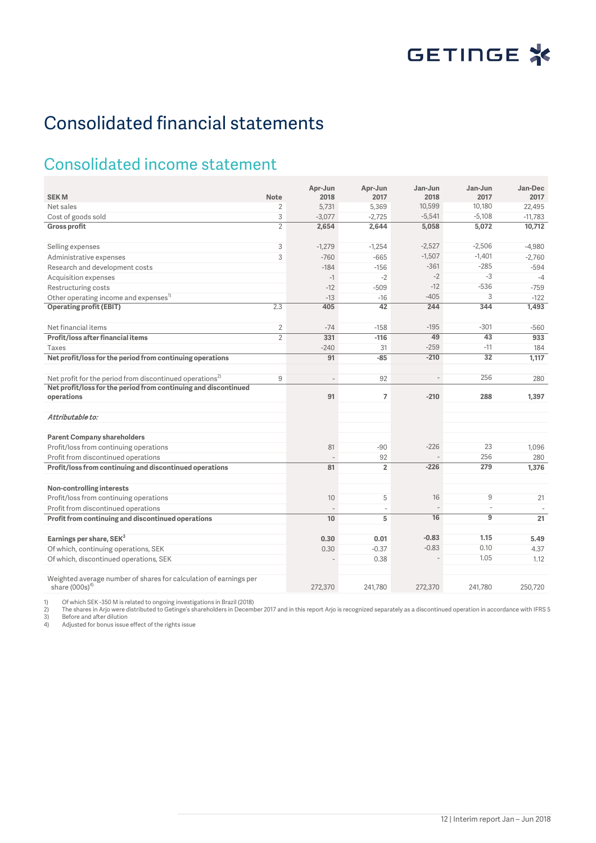# Consolidated financial statements

## Consolidated income statement

| <b>SEKM</b>                                                                           | <b>Note</b>    | Apr-Jun<br>2018 | Apr-Jun<br>2017          | Jan-Jun<br>2018          | Jan-Jun<br>2017          | Jan-Dec<br>2017 |
|---------------------------------------------------------------------------------------|----------------|-----------------|--------------------------|--------------------------|--------------------------|-----------------|
| Net sales                                                                             | $\overline{2}$ | 5,731           | 5,369                    | 10,599                   | 10,180                   | 22,495          |
| Cost of goods sold                                                                    | 3              | $-3,077$        | $-2,725$                 | $-5,541$                 | $-5,108$                 | $-11.783$       |
| <b>Gross profit</b>                                                                   | $\overline{2}$ | 2,654           | 2,644                    | 5,058                    | 5,072                    | 10,712          |
|                                                                                       |                |                 |                          |                          |                          |                 |
| Selling expenses                                                                      | 3              | $-1,279$        | $-1,254$                 | $-2,527$                 | $-2,506$                 | $-4,980$        |
| Administrative expenses                                                               | 3              | $-760$          | $-665$                   | $-1,507$                 | $-1,401$                 | $-2,760$        |
| Research and development costs                                                        |                | $-184$          | $-156$                   | $-361$                   | $-285$                   | $-594$          |
| Acquisition expenses                                                                  |                | $-1$            | $-2$                     | $-2$                     | $-3$                     | $-4$            |
| Restructuring costs                                                                   |                | $-12$           | $-509$                   | $-12$                    | $-536$                   | $-759$          |
| Other operating income and expenses <sup>1)</sup>                                     |                | $-13$           | $-16$                    | $-405$                   | 3                        | $-122$          |
| <b>Operating profit (EBIT)</b>                                                        | 2.3            | 405             | 42                       | 244                      | 344                      | 1.493           |
|                                                                                       |                |                 |                          |                          |                          |                 |
| Net financial items                                                                   | $\overline{2}$ | $-74$           | $-158$                   | $-195$                   | $-301$                   | $-560$          |
| Profit/loss after financial items                                                     | $\overline{2}$ | 331             | $-116$                   | 49                       | 43                       | 933             |
| Taxes                                                                                 |                | $-240$          | 31                       | $-259$                   | $-11$                    | 184             |
| Net profit/loss for the period from continuing operations                             |                | 91              | $-85$                    | $-210$                   | $\overline{32}$          | 1,117           |
|                                                                                       |                |                 |                          |                          |                          |                 |
| Net profit for the period from discontinued operations <sup>2)</sup>                  | 9              |                 | 92                       | $\overline{\phantom{a}}$ | 256                      | 280             |
| Net profit/loss for the period from continuing and discontinued                       |                |                 |                          |                          |                          |                 |
| operations                                                                            |                | 91              | $\overline{7}$           | $-210$                   | 288                      | 1,397           |
|                                                                                       |                |                 |                          |                          |                          |                 |
| Attributable to:                                                                      |                |                 |                          |                          |                          |                 |
| <b>Parent Company shareholders</b>                                                    |                |                 |                          |                          |                          |                 |
| Profit/loss from continuing operations                                                |                | 81              | $-90$                    | $-226$                   | 23                       | 1,096           |
| Profit from discontinued operations                                                   |                |                 | 92                       |                          | 256                      | 280             |
| Profit/loss from continuing and discontinued operations                               |                | 81              | $\overline{2}$           | $-226$                   | 279                      | 1,376           |
|                                                                                       |                |                 |                          |                          |                          |                 |
| Non-controlling interests                                                             |                |                 |                          |                          |                          |                 |
| Profit/loss from continuing operations                                                |                | 10              | 5                        | 16                       | 9                        | 21              |
| Profit from discontinued operations                                                   |                |                 | $\overline{\phantom{a}}$ |                          | $\overline{\phantom{a}}$ |                 |
| Profit from continuing and discontinued operations                                    |                | 10              | 5                        | $\overline{16}$          | $\overline{9}$           | 21              |
|                                                                                       |                |                 |                          |                          |                          |                 |
| Earnings per share, SEK <sup>3</sup>                                                  |                | 0.30            | 0.01                     | $-0.83$                  | 1.15                     | 5.49            |
| Of which, continuing operations, SEK                                                  |                | 0.30            | $-0.37$                  | $-0.83$                  | 0.10                     | 4.37            |
| Of which, discontinued operations, SEK                                                |                |                 | 0.38                     |                          | 1.05                     | 1.12            |
|                                                                                       |                |                 |                          |                          |                          |                 |
| Weighted average number of shares for calculation of earnings per<br>share $(000s)^4$ |                | 272,370         | 241.780                  | 272,370                  | 241.780                  | 250,720         |
|                                                                                       |                |                 |                          |                          |                          |                 |

1) Of which SEK -350 M is related to ongoing investigations in Brazil (2018)<br>2) The shares in Arjo were distributed to Getinge's shareholders in December 2017 and in this report Arjo is recognized separately as a discontin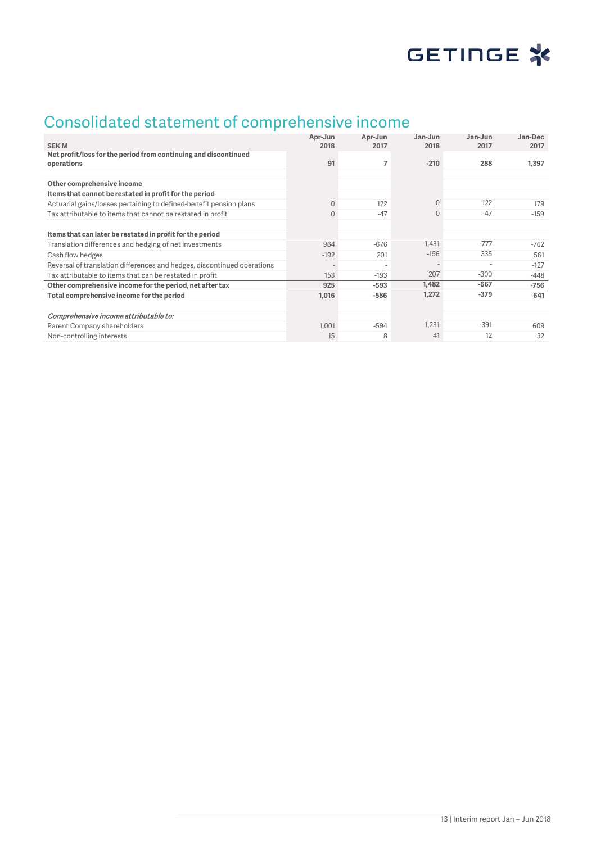

## Consolidated statement of comprehensive income

|                                                                               | Apr-Jun  | Apr-Jun                  | Jan-Jun      | $Jan$ - $Jun$ | Jan-Dec |
|-------------------------------------------------------------------------------|----------|--------------------------|--------------|---------------|---------|
| <b>SEKM</b>                                                                   | 2018     | 2017                     | 2018         | 2017          | 2017    |
| Net profit/loss for the period from continuing and discontinued<br>operations | 91       | 7                        | $-210$       | 288           | 1,397   |
|                                                                               |          |                          |              |               |         |
| Other comprehensive income                                                    |          |                          |              |               |         |
| Items that cannot be restated in profit for the period                        |          |                          |              |               |         |
| Actuarial gains/losses pertaining to defined-benefit pension plans            | $\Omega$ | 122                      | $\mathbf{0}$ | 122           | 179     |
| Tax attributable to items that cannot be restated in profit                   | $\Omega$ | $-47$                    | $\Omega$     | $-47$         | $-159$  |
|                                                                               |          |                          |              |               |         |
| Items that can later be restated in profit for the period                     |          |                          |              |               |         |
| Translation differences and hedging of net investments                        | 964      | $-676$                   | 1,431        | $-777$        | $-762$  |
| Cash flow hedges                                                              | $-192$   | 201                      | $-156$       | 335           | 561     |
| Reversal of translation differences and hedges, discontinued operations       |          | $\overline{\phantom{a}}$ |              |               | $-127$  |
| Tax attributable to items that can be restated in profit                      | 153      | $-193$                   | 207          | $-300$        | $-448$  |
| Other comprehensive income for the period, net after tax                      | 925      | $-593$                   | 1,482        | $-667$        | $-756$  |
| Total comprehensive income for the period                                     | 1,016    | $-586$                   | 1,272        | $-379$        | 641     |
|                                                                               |          |                          |              |               |         |
| Comprehensive income attributable to:                                         |          |                          |              |               |         |
| Parent Company shareholders                                                   | 1,001    | $-594$                   | 1,231        | $-391$        | 609     |
| Non-controlling interests                                                     | 15       | 8                        | 41           | 12            | 32      |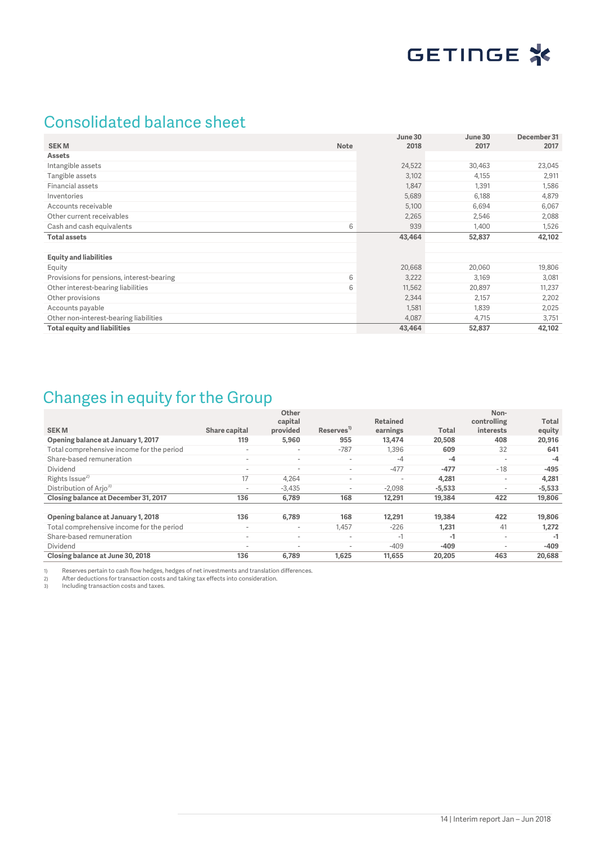

## Consolidated balance sheet

|                                           |             | June 30 | June 30 | December 31 |
|-------------------------------------------|-------------|---------|---------|-------------|
| <b>SEKM</b>                               | <b>Note</b> | 2018    | 2017    | 2017        |
| Assets                                    |             |         |         |             |
| Intangible assets                         |             | 24,522  | 30,463  | 23,045      |
| Tangible assets                           |             | 3,102   | 4,155   | 2,911       |
| Financial assets                          |             | 1,847   | 1,391   | 1,586       |
| Inventories                               |             | 5,689   | 6,188   | 4,879       |
| Accounts receivable                       |             | 5,100   | 6,694   | 6,067       |
| Other current receivables                 |             | 2,265   | 2,546   | 2,088       |
| Cash and cash equivalents                 | 6           | 939     | 1,400   | 1,526       |
| <b>Total assets</b>                       |             | 43,464  | 52,837  | 42,102      |
|                                           |             |         |         |             |
| <b>Equity and liabilities</b>             |             |         |         |             |
| Equity                                    |             | 20,668  | 20,060  | 19,806      |
| Provisions for pensions, interest-bearing | 6           | 3,222   | 3,169   | 3,081       |
| Other interest-bearing liabilities        | 6           | 11,562  | 20,897  | 11,237      |
| Other provisions                          |             | 2,344   | 2,157   | 2,202       |
| Accounts payable                          |             | 1,581   | 1,839   | 2,025       |
| Other non-interest-bearing liabilities    |             | 4,087   | 4,715   | 3,751       |
| <b>Total equity and liabilities</b>       |             | 43,464  | 52,837  | 42,102      |

## Changes in equity for the Group

| <b>SEKM</b>                               | Share capital            | Other<br>capital<br>provided | Reserves <sup>1)</sup>   | <b>Retained</b><br>earnings | Total    | Non-<br>controlling<br><i>interests</i> | Total<br>equity |
|-------------------------------------------|--------------------------|------------------------------|--------------------------|-----------------------------|----------|-----------------------------------------|-----------------|
| Opening balance at January 1, 2017        | 119                      | 5,960                        | 955                      | 13,474                      | 20,508   | 408                                     | 20,916          |
| Total comprehensive income for the period | $\overline{\phantom{a}}$ | $\overline{\phantom{a}}$     | $-787$                   | 1,396                       | 609      | 32                                      | 641             |
| Share-based remuneration                  | $\overline{\phantom{a}}$ | $\overline{\phantom{a}}$     | $\overline{\phantom{a}}$ | $-4$                        | $-4$     | $\overline{\phantom{a}}$                | $-4$            |
| Dividend                                  | $\overline{\phantom{a}}$ | $\overline{\phantom{a}}$     | $\overline{\phantom{a}}$ | $-477$                      | $-477$   | $-18$                                   | $-495$          |
| Rights Issue <sup>2)</sup>                | 17                       | 4.264                        | $\overline{\phantom{a}}$ | $\overline{a}$              | 4.281    | $\overline{\phantom{a}}$                | 4,281           |
| Distribution of Arjo <sup>3)</sup>        | $\,$                     | $-3,435$                     | $\overline{\phantom{a}}$ | $-2.098$                    | $-5.533$ | $\overline{\phantom{a}}$                | $-5,533$        |
| Closing balance at December 31, 2017      | 136                      | 6,789                        | 168                      | 12,291                      | 19,384   | 422                                     | 19,806          |
|                                           |                          |                              |                          |                             |          |                                         |                 |
| Opening balance at January 1, 2018        | 136                      | 6,789                        | 168                      | 12,291                      | 19,384   | 422                                     | 19,806          |
| Total comprehensive income for the period | $\overline{\phantom{a}}$ | $\overline{\phantom{a}}$     | 1,457                    | $-226$                      | 1.231    | 41                                      | 1,272           |
| Share-based remuneration                  | $\overline{\phantom{a}}$ | $\overline{\phantom{a}}$     | $\overline{\phantom{a}}$ | $-1$                        | -1       | $\overline{\phantom{a}}$                | $-1$            |
| Dividend                                  | $\overline{\phantom{a}}$ | $\overline{\phantom{a}}$     | $\overline{\phantom{a}}$ | $-409$                      | $-409$   | $\overline{\phantom{a}}$                | $-409$          |
| Closing balance at June 30, 2018          | 136                      | 6.789                        | 1.625                    | 11.655                      | 20,205   | 463                                     | 20,688          |

1) Reserves pertain to cash flow hedges, hedges of net investments and translation differences. 2) After deductions for transaction costs and taking tax effects into consideration. 3) Reserves pertain to cash flow hedges, *h*<br>2) After deductions for transaction costs<br>3) Including transaction costs and taxes.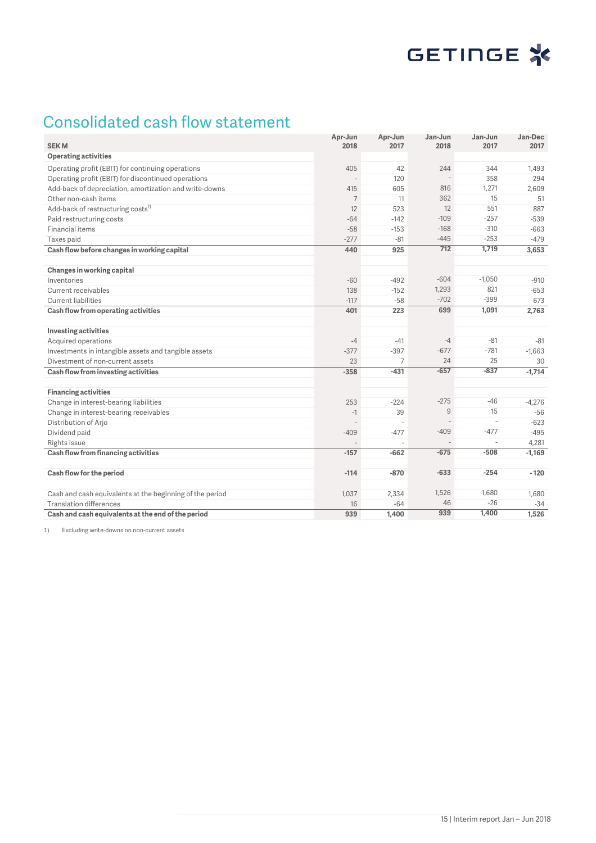## Consolidated cash flow statement

| <b>SEKM</b>                                              | Apr-Jun<br>2018 | Apr-Jun<br>2017 | Jan-Jun<br>2018 | Jan-Jun<br>2017          | Jan-Dec<br>2017 |
|----------------------------------------------------------|-----------------|-----------------|-----------------|--------------------------|-----------------|
| <b>Operating activities</b>                              |                 |                 |                 |                          |                 |
| Operating profit (EBIT) for continuing operations        | 405             | 42              | 244             | 344                      | 1,493           |
| Operating profit (EBIT) for discontinued operations      |                 | 120             | $\overline{a}$  | 358                      | 294             |
| Add-back of depreciation, amortization and write-downs   | 415             | 605             | 816             | 1,271                    | 2,609           |
| Other non-cash items                                     | $\overline{7}$  | 11              | 362             | 15                       | 51              |
| Add-back of restructuring costs <sup>1)</sup>            | 12              | 523             | 12              | 551                      | 887             |
| Paid restructuring costs                                 | $-64$           | $-142$          | $-109$          | $-257$                   | $-539$          |
| Financial items                                          | $-58$           | $-153$          | $-168$          | $-310$                   | $-663$          |
| Taxes paid                                               | $-277$          | $-81$           | $-445$          | $-253$                   | $-479$          |
| Cash flow before changes in working capital              | 440             | 925             | 712             | 1,719                    | 3,653           |
|                                                          |                 |                 |                 |                          |                 |
| Changes in working capital                               |                 |                 |                 |                          |                 |
| Inventories                                              | $-60$           | $-492$          | $-604$          | $-1,050$                 | $-910$          |
| Current receivables                                      | 138             | $-152$          | 1,293           | 821                      | $-653$          |
| <b>Current liabilities</b>                               | $-117$          | $-58$           | $-702$          | $-399$                   | 673             |
| Cash flow from operating activities                      | 401             | 223             | 699             | 1,091                    | 2,763           |
|                                                          |                 |                 |                 |                          |                 |
| <b>Investing activities</b>                              |                 |                 |                 |                          |                 |
| Acquired operations                                      | $-4$            | $-41$           | $-4$            | $-81$                    | $-81$           |
| Investments in intangible assets and tangible assets     | $-377$          | $-397$          | $-677$          | $-781$                   | $-1,663$        |
| Divestment of non-current assets                         | 23              | 7               | 24              | 25                       | 30              |
| Cash flow from investing activities                      | $-358$          | $-431$          | $-657$          | $-837$                   | $-1.714$        |
|                                                          |                 |                 |                 |                          |                 |
| <b>Financing activities</b>                              |                 |                 |                 |                          |                 |
| Change in interest-bearing liabilities                   | 253             | $-224$          | $-275$          | $-46$                    | $-4,276$        |
| Change in interest-bearing receivables                   | $-1$            | 39              | $\mathsf g$     | 15                       | $-56$           |
| Distribution of Arjo                                     |                 |                 |                 | $\overline{\phantom{a}}$ | $-623$          |
| Dividend paid                                            | $-409$          | $-477$          | $-409$          | $-477$                   | $-495$          |
| Rights issue                                             |                 |                 |                 | $\overline{\phantom{a}}$ | 4,281           |
| Cash flow from financing activities                      | $-157$          | -662            | $-675$          | $-508$                   | $-1,169$        |
|                                                          |                 |                 |                 |                          |                 |
| Cash flow for the period                                 | $-114$          | $-870$          | $-633$          | $-254$                   | $-120$          |
|                                                          |                 |                 |                 |                          |                 |
| Cash and cash equivalents at the beginning of the period | 1,037           | 2,334           | 1,526           | 1,680                    | 1,680           |
| <b>Translation differences</b>                           | 16              | $-64$           | 46              | $-26$                    | $-34$           |
| Cash and cash equivalents at the end of the period       | 939             | 1,400           | 939             | 1,400                    | 1,526           |

1) Excluding write-downs on non-current assets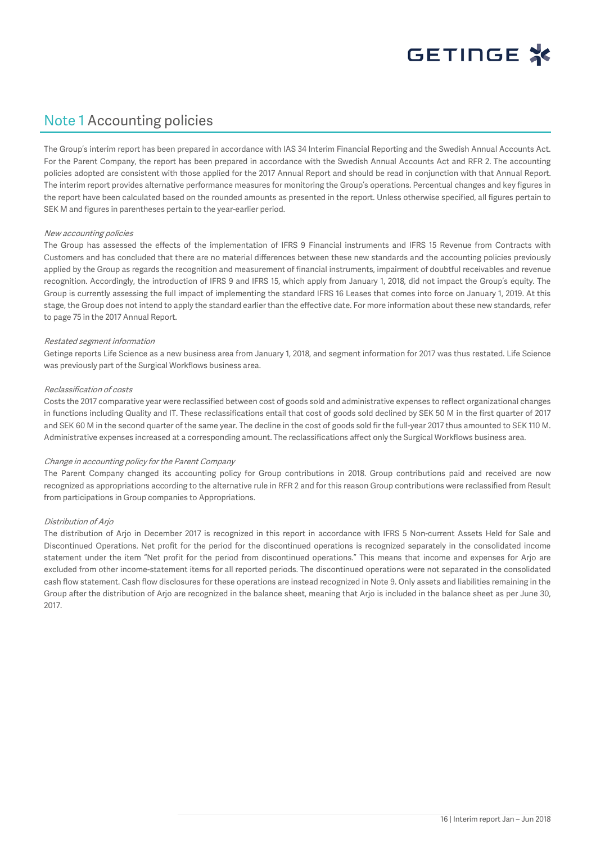

## Note 1 Accounting policies

The Group's interim report has been prepared in accordance with IAS 34 Interim Financial Reporting and the Swedish Annual Accounts Act. For the Parent Company, the report has been prepared in accordance with the Swedish Annual Accounts Act and RFR 2. The accounting policies adopted are consistent with those applied for the 2017 Annual Report and should be read in conjunction with that Annual Report. The interim report provides alternative performance measures for monitoring the Group's operations. Percentual changes and key figures in the report have been calculated based on the rounded amounts as presented in the report. Unless otherwise specified, all figures pertain to SEK M and figures in parentheses pertain to the year-earlier period.

#### New accounting policies

The Group has assessed the effects of the implementation of IFRS 9 Financial instruments and IFRS 15 Revenue from Contracts with Customers and has concluded that there are no material differences between these new standards and the accounting policies previously applied by the Group as regards the recognition and measurement of financial instruments, impairment of doubtful receivables and revenue recognition. Accordingly, the introduction of IFRS 9 and IFRS 15, which apply from January 1, 2018, did not impact the Group's equity. The Group is currently assessing the full impact of implementing the standard IFRS 16 Leases that comes into force on January 1, 2019. At this stage, the Group does not intend to apply the standard earlier than the effective date. For more information about these new standards, refer to page 75 in the 2017 Annual Report.

#### Restated segment information

Getinge reports Life Science as a new business area from January 1, 2018, and segment information for 2017 was thus restated. Life Science was previously part of the Surgical Workflows business area.

#### Reclassification of costs

Costs the 2017 comparative year were reclassified between cost of goods sold and administrative expenses to reflect organizational changes in functions including Quality and IT. These reclassifications entail that cost of goods sold declined by SEK 50 M in the first quarter of 2017 and SEK 60 M in the second quarter of the same year. The decline in the cost of goods sold fir the full-year 2017 thus amounted to SEK 110 M. Administrative expenses increased at a corresponding amount. The reclassifications affect only the Surgical Workflows business area.

#### Change in accounting policy for the Parent Company

The Parent Company changed its accounting policy for Group contributions in 2018. Group contributions paid and received are now recognized as appropriations according to the alternative rule in RFR 2 and for this reason Group contributions were reclassified from Result from participations in Group companies to Appropriations.

#### Distribution of Arjo

The distribution of Arjo in December 2017 is recognized in this report in accordance with IFRS 5 Non-current Assets Held for Sale and Discontinued Operations. Net profit for the period for the discontinued operations is recognized separately in the consolidated income statement under the item "Net profit for the period from discontinued operations." This means that income and expenses for Arjo are excluded from other income-statement items for all reported periods. The discontinued operations were not separated in the consolidated cash flow statement. Cash flow disclosures for these operations are instead recognized in Note 9. Only assets and liabilities remaining in the Group after the distribution of Arjo are recognized in the balance sheet, meaning that Arjo is included in the balance sheet as per June 30, 2017.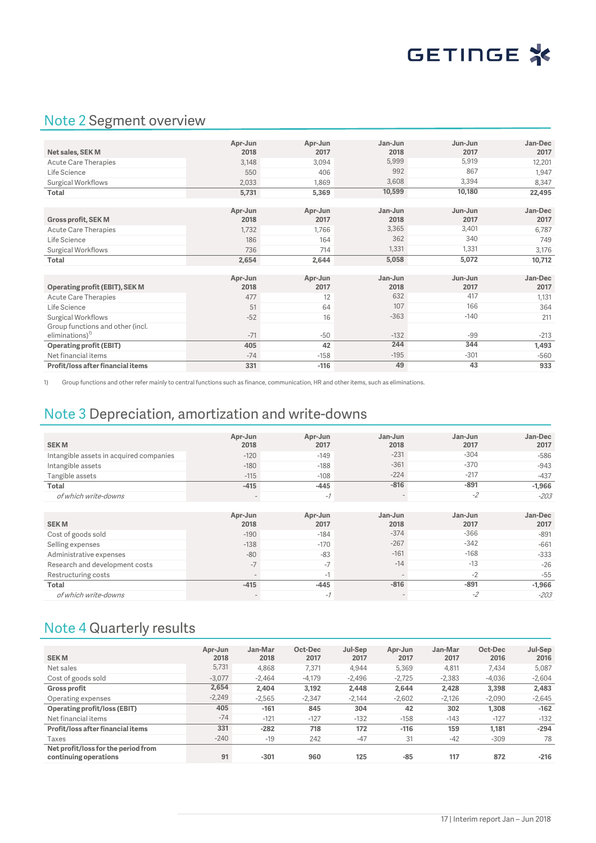

## Note 2 Segment overview

|                                   | Apr-Jun | Apr-Jun | Jan-Jun | Jun-Jun | Jan-Dec |
|-----------------------------------|---------|---------|---------|---------|---------|
| Net sales, SEK M                  | 2018    | 2017    | 2018    | 2017    | 2017    |
| Acute Care Therapies              | 3,148   | 3,094   | 5,999   | 5,919   | 12,201  |
| Life Science                      | 550     | 406     | 992     | 867     | 1,947   |
| Surgical Workflows                | 2,033   | 1,869   | 3,608   | 3,394   | 8,347   |
| <b>Total</b>                      | 5,731   | 5,369   | 10,599  | 10,180  | 22,495  |
|                                   |         |         |         |         |         |
|                                   | Apr-Jun | Apr-Jun | Jan-Jun | Jun-Jun | Jan-Dec |
| <b>Gross profit, SEK M</b>        | 2018    | 2017    | 2018    | 2017    | 2017    |
| Acute Care Therapies              | 1,732   | 1,766   | 3,365   | 3,401   | 6,787   |
| Life Science                      | 186     | 164     | 362     | 340     | 749     |
| Surgical Workflows                | 736     | 714     | 1,331   | 1,331   | 3,176   |
| Total                             | 2,654   | 2,644   | 5,058   | 5,072   | 10,712  |
|                                   |         |         |         |         |         |
|                                   | Apr-Jun | Apr-Jun | Jan-Jun | Jun-Jun | Jan-Dec |
| Operating profit (EBIT), SEK M    | 2018    | 2017    | 2018    | 2017    | 2017    |
| <b>Acute Care Therapies</b>       | 477     | 12      | 632     | 417     | 1,131   |
| Life Science                      | 51      | 64      | 107     | 166     | 364     |
| Surgical Workflows                | $-52$   | 16      | $-363$  | $-140$  | 211     |
| Group functions and other (incl.  |         |         |         |         |         |
| $eliminations)^{1}$               | $-71$   | $-50$   | $-132$  | $-99$   | $-213$  |
| <b>Operating profit (EBIT)</b>    | 405     | 42      | 244     | 344     | 1,493   |
| Net financial items               | $-74$   | $-158$  | $-195$  | $-301$  | $-560$  |
| Profit/loss after financial items | 331     | $-116$  | 49      | 43      | 933     |

1) Group functions and other refer mainly to central functions such as finance, communication, HR and other items, such as eliminations.

## Note 3 Depreciation, amortization and write-downs

| <b>SEKM</b>                             | Apr-Jun<br>2018 | Apr-Jun<br>2017 | Jan-Jun<br>2018          | Jan-Jun<br>2017 | Jan-Dec<br>2017 |
|-----------------------------------------|-----------------|-----------------|--------------------------|-----------------|-----------------|
| Intangible assets in acquired companies | $-120$          | $-149$          | $-231$                   | $-304$          | $-586$          |
| Intangible assets                       | $-180$          | $-188$          | $-361$                   | $-370$          | $-943$          |
| Tangible assets                         | $-115$          | $-108$          | $-224$                   | $-217$          | $-437$          |
| <b>Total</b>                            | $-415$          | $-445$          | $-816$                   | $-891$          | $-1,966$        |
| of which write-downs                    |                 | $-7$            | $\qquad \qquad$          | $-2$            | $-203$          |
|                                         |                 |                 |                          |                 |                 |
| <b>SEKM</b>                             | Apr-Jun<br>2018 | Apr-Jun<br>2017 | Jan-Jun<br>2018          | Jan-Jun<br>2017 | Jan-Dec<br>2017 |
| Cost of goods sold                      | $-190$          | $-184$          | $-374$                   | $-366$          | $-891$          |
| Selling expenses                        | $-138$          | $-170$          | $-267$                   | $-342$          | $-661$          |
| Administrative expenses                 | $-80$           | $-83$           | $-161$                   | $-168$          | $-333$          |
| Research and development costs          | $-7$            | $-7$            | $-14$                    | $-13$           | $-26$           |
| Restructuring costs                     |                 | $-1$            |                          | $-2$            | $-55$           |
| <b>Total</b>                            | $-415$          | $-445$          | $-816$                   | $-891$          | $-1,966$        |
| of which write-downs                    |                 | $-7$            | $\overline{\phantom{a}}$ | $-2$            | $-203$          |

## Note 4 Quarterly results

| <b>SEKM</b>                         | Apr-Jun<br>2018 | Jan-Mar<br>2018 | Oct-Dec<br>2017 | Jul-Sep<br>2017 | Apr-Jun<br>2017 | Jan-Mar<br>2017 | Oct-Dec<br>2016 | Jul-Sep<br>2016 |
|-------------------------------------|-----------------|-----------------|-----------------|-----------------|-----------------|-----------------|-----------------|-----------------|
| Net sales                           | 5,731           | 4.868           |                 | 4.944           |                 |                 | 7.434           |                 |
|                                     |                 |                 | 7,371           |                 | 5,369           | 4.811           |                 | 5,087           |
| Cost of goods sold                  | $-3.077$        | $-2.464$        | $-4,179$        | $-2.496$        | $-2.725$        | $-2.383$        | $-4.036$        | $-2,604$        |
| <b>Gross profit</b>                 | 2,654           | 2.404           | 3,192           | 2.448           | 2,644           | 2,428           | 3,398           | 2,483           |
| Operating expenses                  | $-2,249$        | $-2.565$        | $-2,347$        | $-2.144$        | $-2,602$        | $-2,126$        | $-2.090$        | $-2,645$        |
| <b>Operating profit/loss (EBIT)</b> | 405             | $-161$          | 845             | 304             | 42              | 302             | 1.308           | $-162$          |
| Net financial items                 | $-74$           | $-121$          | $-127$          | $-132$          | $-158$          | $-143$          | $-127$          | $-132$          |
| Profit/loss after financial items   | 331             | $-282$          | 718             | 172             | $-116$          | 159             | 1,181           | $-294$          |
| Taxes                               | $-240$          | $-19$           | 242             | $-47$           | 31              | $-42$           | $-309$          | 78              |
| Net profit/loss for the period from |                 |                 |                 |                 |                 |                 |                 |                 |
| continuing operations               | 91              | $-301$          | 960             | 125             | $-85$           | 117             | 872             | $-216$          |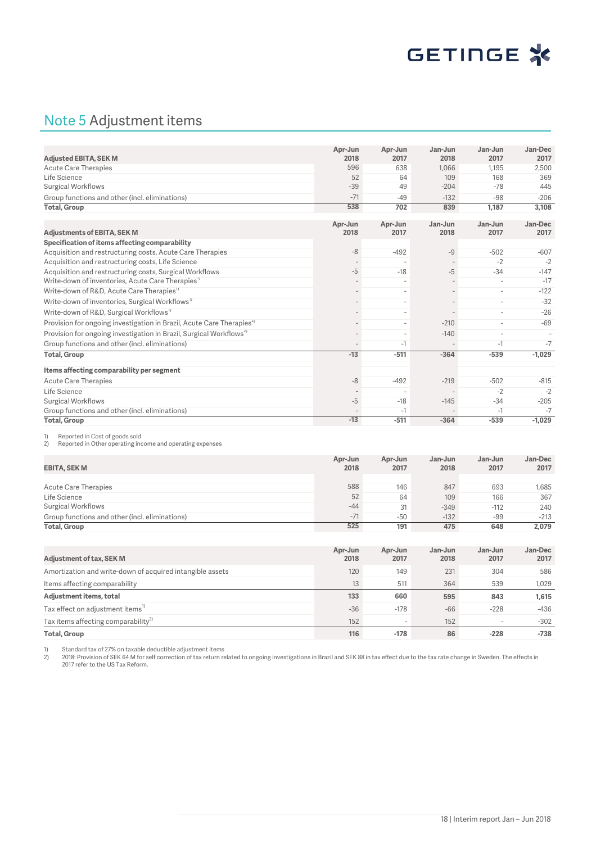

## Note 5 Adjustment items

|                                                                                   | Apr-Jun         | Apr-Jun         | Jan-Jun         | Jan-Jun                  | Jan-Dec         |
|-----------------------------------------------------------------------------------|-----------------|-----------------|-----------------|--------------------------|-----------------|
| <b>Adjusted EBITA, SEK M</b>                                                      | 2018            | 2017            | 2018            | 2017                     | 2017            |
| <b>Acute Care Therapies</b>                                                       | 596             | 638             | 1.066           | 1.195                    | 2,500           |
| Life Science                                                                      | 52              | 64              | 109             | 168                      | 369             |
| Surgical Workflows                                                                | $-39$           | 49              | $-204$          | $-78$                    | 445             |
| Group functions and other (incl. eliminations)                                    | $-71$           | $-49$           | $-132$          | $-98$                    | $-206$          |
| <b>Total, Group</b>                                                               | 538             | 702             | 839             | 1,187                    | 3,108           |
| <b>Adjustments of EBITA, SEK M</b>                                                | Apr-Jun<br>2018 | Apr-Jun<br>2017 | Jan-Jun<br>2018 | Jan-Jun<br>2017          | Jan-Dec<br>2017 |
| Specification of items affecting comparability                                    |                 |                 |                 |                          |                 |
| Acquisition and restructuring costs, Acute Care Therapies                         | $-8$            | $-492$          | $-9$            | $-502$                   | $-607$          |
| Acquisition and restructuring costs, Life Science                                 |                 |                 |                 | $-2$                     | $-2$            |
| Acquisition and restructuring costs, Surgical Workflows                           | $-5$            | $-18$           | $-5$            | $-34$                    | $-147$          |
| Write-down of inventories, Acute Care Therapies"                                  |                 |                 |                 | $\overline{\phantom{a}}$ | $-17$           |
| Write-down of R&D, Acute Care Therapies <sup>11</sup>                             |                 |                 |                 | $\overline{a}$           | $-122$          |
| Write-down of inventories, Surgical Workflows <sup>1)</sup>                       |                 |                 |                 |                          | $-32$           |
| Write-down of R&D, Surgical Workflows <sup>1)</sup>                               |                 |                 |                 | $\overline{\phantom{a}}$ | $-26$           |
| Provision for ongoing investigation in Brazil, Acute Care Therapies <sup>2)</sup> |                 |                 | $-210$          |                          | $-69$           |
| Provision for ongoing investigation in Brazil, Surgical Workflows <sup>4)</sup>   |                 |                 | $-140$          | $\overline{\phantom{a}}$ |                 |
| Group functions and other (incl. eliminations)                                    |                 | -1              | $\overline{a}$  | $-1$                     | $-7$            |
| <b>Total, Group</b>                                                               | $-13$           | $-511$          | $-364$          | $-539$                   | $-1,029$        |
| Items affecting comparability per segment                                         |                 |                 |                 |                          |                 |
| <b>Acute Care Therapies</b>                                                       | $-8$            | $-492$          | $-219$          | $-502$                   | $-815$          |
| Life Science                                                                      |                 |                 |                 | $-2$                     | $-2$            |
| Surgical Workflows                                                                | $-5$            | $-18$           | $-145$          | $-34$                    | $-205$          |
| Group functions and other (incl. eliminations)                                    |                 | $-1$            |                 | $-1$                     | $-7$            |
| <b>Total, Group</b>                                                               | $-13$           | $-511$          | $-364$          | $-539$                   | $-1,029$        |

1) Reported in Cost of goods sold<br>2) Reported in Other operating inc

Reported in Other operating income and operating expenses

| EBITA, SEK M                                   | Apr-Jun<br>2018 | Apr-Jun<br>2017 | Jan-Jun<br>2018 | Jan-Jun<br>2017 | Jan-Dec<br>2017 |
|------------------------------------------------|-----------------|-----------------|-----------------|-----------------|-----------------|
|                                                |                 |                 |                 |                 |                 |
| Acute Care Therapies                           | 588             | 146             | 847             | 693             | 1,685           |
| Life Science                                   | 52              | 64              | 109             | 166             | 367             |
| Surgical Workflows                             | $-44$           | 31              | $-349$          | $-112$          | 240             |
| Group functions and other (incl. eliminations) | $-71$           | $-50$           | $-132$          | $-99$           | $-213$          |
| <b>Total, Group</b>                            | 525             | 191             | 475             | 648             | 2,079           |

| Adjustment of tax, SEK M                                  | Apr-Jun<br>2018 | Apr-Jun<br>2017          | Jan-Jun<br>2018 | Jan-Jun<br>2017 | Jan-Dec<br>2017 |
|-----------------------------------------------------------|-----------------|--------------------------|-----------------|-----------------|-----------------|
| Amortization and write-down of acquired intangible assets | 120             | 149                      | 231             | 304             | 586             |
| Items affecting comparability                             | 13              | 511                      | 364             | 539             | 1.029           |
| Adjustment items, total                                   | 133             | 660                      | 595             | 843             | 1,615           |
| Tax effect on adjustment items <sup>1)</sup>              | $-36$           | $-178$                   | $-66$           | $-228$          | -436            |
| Tax items affecting comparability <sup>2)</sup>           | 152             | $\overline{\phantom{a}}$ | 152             |                 | $-302$          |
| <b>Total, Group</b>                                       | 116             | $-178$                   | 86              | $-228$          | $-738$          |

1) Standard tax of 27% on taxable deductible adjustment items<br>2) 2018: Provision of SEK 64 M for self correction of tax return related to ongoing investigations in Brazil and SEK 88 in tax effect due to the tax rate change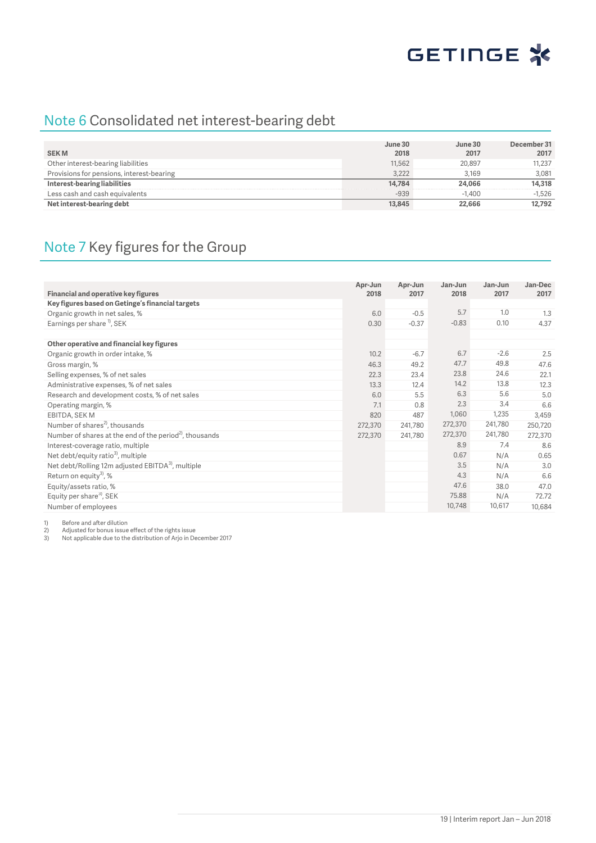

## Note 6 Consolidated net interest-bearing debt

|                                           | June 30 | June 30  | December 31 |
|-------------------------------------------|---------|----------|-------------|
| <b>SEKM</b>                               | 2018    | 2017     | 2017        |
| Other interest-bearing liabilities        | 11,562  | 20.897   | 11.237      |
| Provisions for pensions, interest-bearing | 3.222   | 3.169    | 3.081       |
| Interest-bearing liabilities              | 14.784  | 24,066   | 14.318      |
| Less cash and cash equivalents            | $-939$  | $-1.400$ | $-1.526$    |
| Net interest-bearing debt                 | 13,845  | 22,666   | 12.792      |

## Note 7 Key figures for the Group

| <b>Financial and operative key figures</b>                         | Apr-Jun<br>2018 | Apr-Jun<br>2017 | Jan-Jun<br>2018 | Jan-Jun<br>2017 | Jan-Dec<br>2017 |
|--------------------------------------------------------------------|-----------------|-----------------|-----------------|-----------------|-----------------|
| Key figures based on Getinge's financial targets                   |                 |                 |                 |                 |                 |
| Organic growth in net sales, %                                     | 6.0             | $-0.5$          | 5.7             | 1.0             | 1.3             |
| Earnings per share <sup>1</sup> , SEK                              | 0.30            | $-0.37$         | $-0.83$         | 0.10            | 4.37            |
|                                                                    |                 |                 |                 |                 |                 |
| Other operative and financial key figures                          |                 |                 |                 |                 |                 |
| Organic growth in order intake, %                                  | 10.2            | $-6.7$          | 6.7             | $-2.6$          | 2.5             |
| Gross margin, %                                                    | 46.3            | 49.2            | 47.7            | 49.8            | 47.6            |
| Selling expenses, % of net sales                                   | 22.3            | 23.4            | 23.8            | 24.6            | 22.1            |
| Administrative expenses, % of net sales                            | 13.3            | 12.4            | 14.2            | 13.8            | 12.3            |
| Research and development costs, % of net sales                     | 6.0             | 5.5             | 6.3             | 5.6             | 5.0             |
| Operating margin, %                                                | 7.1             | 0.8             | 2.3             | 3.4             | 6.6             |
| EBITDA, SEK M                                                      | 820             | 487             | 1,060           | 1,235           | 3,459           |
| Number of shares <sup>2</sup> , thousands                          | 272,370         | 241,780         | 272,370         | 241,780         | 250,720         |
| Number of shares at the end of the period <sup>2</sup> , thousands | 272,370         | 241,780         | 272,370         | 241,780         | 272,370         |
| Interest-coverage ratio, multiple                                  |                 |                 | 8.9             | 7.4             | 8.6             |
| Net debt/equity ratio <sup>3</sup> , multiple                      |                 |                 | 0.67            | N/A             | 0.65            |
| Net debt/Rolling 12m adjusted EBITDA <sup>3</sup> , multiple       |                 |                 | 3.5             | N/A             | 3.0             |
| Return on equity <sup>3</sup> , %                                  |                 |                 | 4.3             | N/A             | 6.6             |
| Equity/assets ratio, %                                             |                 |                 | 47.6            | 38.0            | 47.0            |
| Equity per share <sup>3)</sup> , SEK                               |                 |                 | 75.88           | N/A             | 72.72           |
| Number of employees                                                |                 |                 | 10,748          | 10.617          | 10,684          |

1) Before and after dilution<br>2) Adjusted for bonus issue<br>3) Not applicable due to the 2) Adjusted for bonus issue effect of the rights issue 3) Not applicable due to the distribution of Arjo in December 2017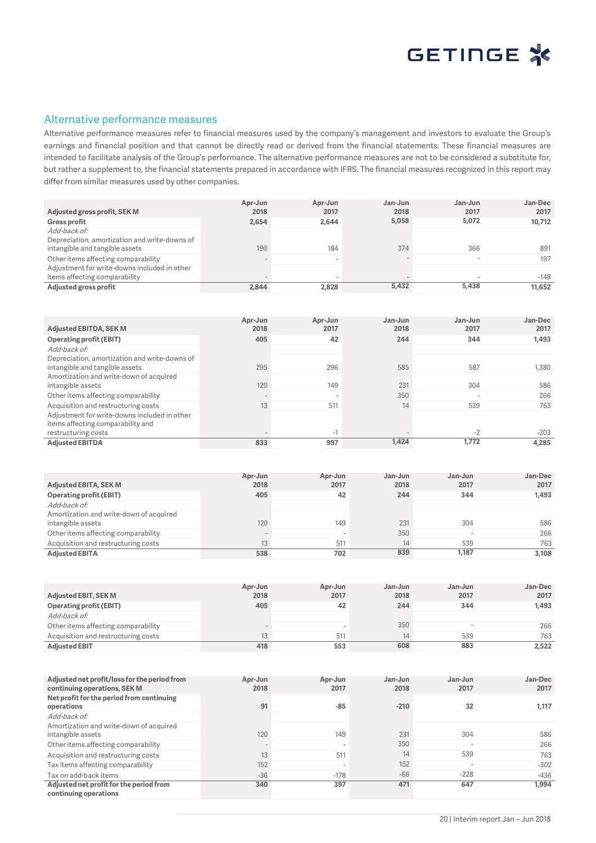

### Alternative performance measures

Alternative performance measures refer to financial measures used by the company's management and investors to evaluate the Group's earnings and financial position and that cannot be directly read or derived from the financial statements. These financial measures are intended to facilitate analysis of the Group's performance. The alternative performance measures are not to be considered a substitute for, but rather a supplement to, the financial statements prepared in accordance with IFRS. The financial measures recognized in this report may differ from similar measures used by other companies.

| Adjusted gross profit, SEK M                                                                    | Apr-Jun<br>2018 | Apr-Jun<br>2017 | Jan-Jun<br>2018 | Jan-Jun<br>2017          | Jan-Dec<br>2017 |
|-------------------------------------------------------------------------------------------------|-----------------|-----------------|-----------------|--------------------------|-----------------|
| <b>Gross profit</b>                                                                             | 2,654           | 2.644           | 5,058           | 5,072                    | 10,712          |
| Add-back of:<br>Depreciation, amortization and write-downs of<br>intangible and tangible assets | 190             | 184             | 374             | 366                      | 891             |
| Other items affecting comparability                                                             |                 |                 |                 | $\overline{\phantom{a}}$ | 197             |
| Adjustment for write-downs included in other                                                    |                 |                 |                 |                          |                 |
| items affecting comparability                                                                   |                 |                 |                 |                          | $-148$          |
| Adjusted gross profit                                                                           | 2.844           | 2,828           | 5,432           | 5.438                    | 11.652          |

| <b>Adjusted EBITDA, SEK M</b>                                                     | Apr-Jun<br>2018          | Apr-Jun<br>2017 | Jan-Jun<br>2018 | Jan-Jun<br>2017 | Jan-Dec<br>2017 |
|-----------------------------------------------------------------------------------|--------------------------|-----------------|-----------------|-----------------|-----------------|
| <b>Operating profit (EBIT)</b>                                                    | 405                      | 42              | 244             | 344             | 1,493           |
| Add-back of:                                                                      |                          |                 |                 |                 |                 |
| Depreciation, amortization and write-downs of                                     |                          |                 |                 |                 |                 |
| intangible and tangible assets                                                    | 295                      | 296             | 585             | 587             | 1.380           |
| Amortization and write-down of acquired                                           |                          |                 |                 |                 |                 |
| intangible assets                                                                 | 120                      | 149             | 231             | 304             | 586             |
| Other items affecting comparability                                               | $\overline{\phantom{a}}$ |                 | 350             |                 | 266             |
| Acquisition and restructuring costs                                               | 13                       | 511             | 14              | 539             | 763             |
| Adjustment for write-downs included in other<br>items affecting comparability and |                          |                 |                 |                 |                 |
| restructuring costs                                                               | $\overline{\phantom{a}}$ | $-1$            |                 | $-2$            | $-203$          |
| <b>Adiusted EBITDA</b>                                                            | 833                      | 997             | 1,424           | 1.772           | 4.285           |

| <b>Adjusted EBITA, SEK M</b>                                 | Apr-Jun<br>2018              | Apr-Jun<br>2017 | Jan-Jun<br>2018 | Jan-Jun<br>2017 | Jan-Dec<br>2017 |
|--------------------------------------------------------------|------------------------------|-----------------|-----------------|-----------------|-----------------|
| <b>Operating profit (EBIT)</b>                               | 405                          | 42              | 244             | 344             | 1,493           |
| Add-back of:                                                 |                              |                 |                 |                 |                 |
| Amortization and write-down of acquired<br>intangible assets | 120                          | 149             | 231             | 304             | 586             |
| Other items affecting comparability                          | $\qquad \qquad \blacksquare$ |                 | 350             |                 | 266             |
| Acquisition and restructuring costs                          | 13                           | 511             | 14              | 539             | 763             |
| <b>Adjusted EBITA</b>                                        | 538                          | 702             | 839             | 1.187           | 3,108           |

| <b>Adjusted EBIT, SEK M</b>         | Apr-Jun<br>2018 | Apr-Jun<br>2017 | Jan-Jun<br>2018 | Jan-Jun<br>2017 | Jan-Dec<br>2017 |
|-------------------------------------|-----------------|-----------------|-----------------|-----------------|-----------------|
| Operating profit (EBIT)             | 405             | 42              | 244             | 344             | 1,493           |
| Add-back of:                        |                 |                 |                 |                 |                 |
| Other items affecting comparability |                 |                 | 350             |                 | 266             |
| Acquisition and restructuring costs | 13              | 511             | 14              | 539             | 763             |
| <b>Adjusted EBIT</b>                | 418             | 553             | 608             | 883             | 2,522           |

| Adjusted net profit/loss for the period from<br>continuing operations, SEK M | Apr-Jun<br>2018          | Apr-Jun<br>2017          | Jan-Jun<br>2018 | Jan-Jun<br>2017          | Jan-Dec<br>2017 |
|------------------------------------------------------------------------------|--------------------------|--------------------------|-----------------|--------------------------|-----------------|
| Net profit for the period from continuing<br>operations                      | 91                       | $-85$                    | $-210$          | 32                       | 1.117           |
| Add-back of:                                                                 |                          |                          |                 |                          |                 |
| Amortization and write-down of acquired<br>intangible assets                 | 120                      | 149                      | 231             | 304                      | 586             |
| Other items affecting comparability                                          | $\overline{\phantom{a}}$ | $\overline{\phantom{a}}$ | 350             | $\overline{\phantom{0}}$ | 266             |
| Acquisition and restructuring costs                                          | 13                       | 511                      | 14              | 539                      | 763             |
| Tax items affecting comparability                                            | 152                      | $\overline{\phantom{a}}$ | 152             | $\overline{\phantom{0}}$ | $-302$          |
| Tax on add-back items                                                        | $-36$                    | $-178$                   | $-66$           | $-228$                   | $-436$          |
| Adjusted net profit for the period from                                      | 340                      | 397                      | 471             | 647                      | 1.994           |
| continuing operations                                                        |                          |                          |                 |                          |                 |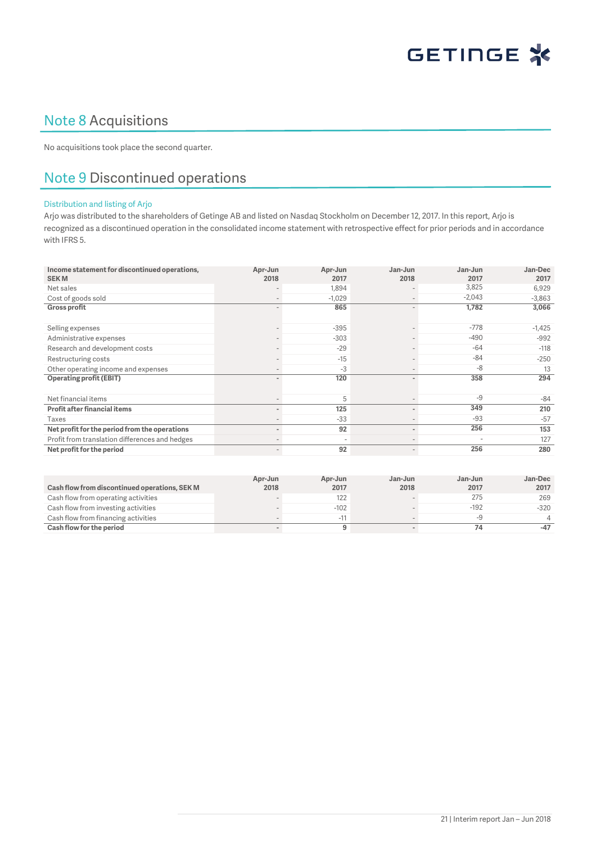

## Note 8 Acquisitions

No acquisitions took place the second quarter.

## Note 9 Discontinued operations

#### Distribution and listing of Arjo

Arjo was distributed to the shareholders of Getinge AB and listed on Nasdaq Stockholm on December 12, 2017. In this report, Arjo is recognized as a discontinued operation in the consolidated income statement with retrospective effect for prior periods and in accordance with IFRS 5.

| Income statement for discontinued operations,<br><b>SEKM</b> | Apr-Jun<br>2018              | Apr-Jun<br>2017          | Jan-Jun<br>2018              | Jan-Jun<br>2017 | Jan-Dec<br>2017 |
|--------------------------------------------------------------|------------------------------|--------------------------|------------------------------|-----------------|-----------------|
| Net sales                                                    |                              | 1,894                    |                              | 3,825           | 6,929           |
| Cost of goods sold                                           | $\qquad \qquad \blacksquare$ | $-1,029$                 | $\overline{\phantom{a}}$     | $-2,043$        | $-3,863$        |
| <b>Gross profit</b>                                          |                              | 865                      | $\overline{\phantom{a}}$     | 1,782           | 3,066           |
| Selling expenses                                             |                              | $-395$                   |                              | $-778$          | $-1,425$        |
| Administrative expenses                                      |                              | $-303$                   |                              | $-490$          | $-992$          |
| Research and development costs                               |                              | $-29$                    |                              | $-64$           | $-118$          |
| Restructuring costs                                          |                              | $-15$                    |                              | $-84$           | $-250$          |
| Other operating income and expenses                          |                              | $-3$                     |                              | $-8$            | 13              |
| <b>Operating profit (EBIT)</b>                               | $\blacksquare$               | 120                      | $\blacksquare$               | 358             | 294             |
|                                                              |                              |                          |                              |                 |                 |
| Net financial items                                          |                              | 5                        | $\qquad \qquad \blacksquare$ | $-9$            | $-84$           |
| <b>Profit after financial items</b>                          | $\overline{\phantom{a}}$     | 125                      | $\blacksquare$               | 349             | 210             |
| Taxes                                                        |                              | $-33$                    |                              | $-93$           | $-57$           |
| Net profit for the period from the operations                | $\blacksquare$               | 92                       | $\sim$                       | 256             | 153             |
| Profit from translation differences and hedges               | $\overline{\phantom{a}}$     | $\overline{\phantom{a}}$ | $\overline{\phantom{0}}$     |                 | 127             |
| Net profit for the period                                    | $\overline{\phantom{a}}$     | 92                       | $\overline{\phantom{a}}$     | 256             | 280             |

|                                               | Apr-Jun | Apr-Jun | Jan-Jun | Jan-Jun | Jan-Dec |
|-----------------------------------------------|---------|---------|---------|---------|---------|
| Cash flow from discontinued operations, SEK M | 2018    | 2017    | 2018    | 2017    | 2017    |
| Cash flow from operating activities           |         | 122     |         | 275     | 269     |
| Cash flow from investing activities           |         | $-102$  |         | $-192$  | $-320$  |
| Cash flow from financing activities           |         | $-11$   |         | -9      |         |
| Cash flow for the period                      |         |         |         |         | $-47$   |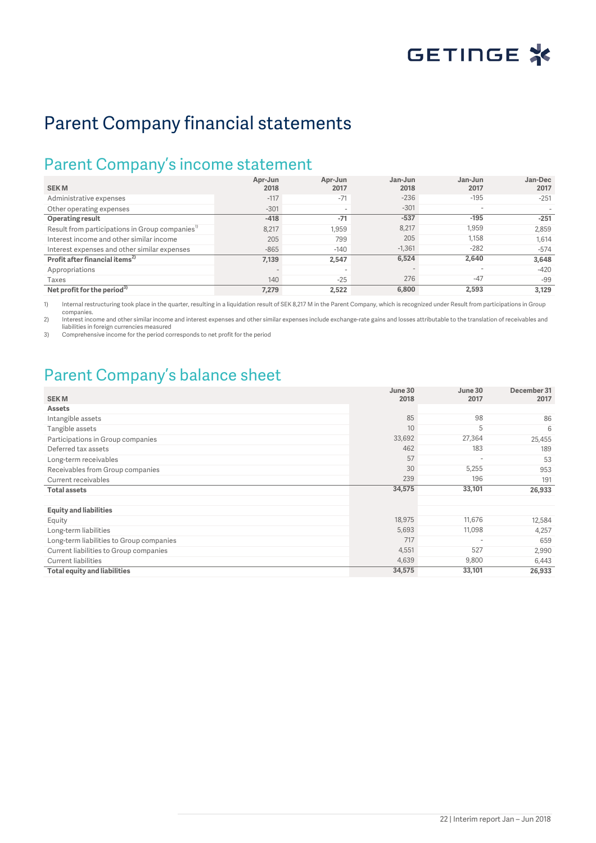

## Parent Company financial statements

## Parent Company's income statement

| <b>SEKM</b>                                                 | Apr-Jun<br>2018 | Apr-Jun<br>2017          | Jan-Jun<br>2018 | Jan-Jun<br>2017          | Jan-Dec<br>2017 |
|-------------------------------------------------------------|-----------------|--------------------------|-----------------|--------------------------|-----------------|
| Administrative expenses                                     | $-117$          | $-71$                    | $-236$          | $-195$                   | $-251$          |
| Other operating expenses                                    | $-301$          | $\overline{\phantom{0}}$ | $-301$          | $\overline{\phantom{a}}$ |                 |
| <b>Operating result</b>                                     | $-418$          | $-71$                    | $-537$          | $-195$                   | $-251$          |
| Result from participations in Group companies <sup>1)</sup> | 8,217           | 1.959                    | 8,217           | 1,959                    | 2,859           |
| Interest income and other similar income                    | 205             | 799                      | 205             | 1.158                    | 1,614           |
| Interest expenses and other similar expenses                | $-865$          | $-140$                   | $-1,361$        | $-282$                   | $-574$          |
| Profit after financial items <sup>2)</sup>                  | 7,139           | 2.547                    | 6,524           | 2,640                    | 3.648           |
| Appropriations                                              | $\sim$          | $\overline{\phantom{0}}$ |                 | $\overline{\phantom{a}}$ | $-420$          |
| Taxes                                                       | 140             | $-25$                    | 276             | $-47$                    | $-99$           |
| Net profit for the period <sup>3)</sup>                     | 7,279           | 2,522                    | 6,800           | 2.593                    | 3.129           |

1) Internal restructuring took place in the quarter, resulting in a liquidation result of SEK 8,217 M in the Parent Company, which is recognized under Result from participations in Group companies.

2) Interest income and other similar income and interest expenses and other similar expenses include exchange-rate gains and losses attributable to the translation of receivables and

liabilities in foreign currencies measured 3) Comprehensive income for the period corresponds to net profit for the period

## Parent Company's balance sheet

| <b>SEKM</b>                              | June 30<br>2018 | June 30<br>2017          | December 31<br>2017 |
|------------------------------------------|-----------------|--------------------------|---------------------|
| <b>Assets</b>                            |                 |                          |                     |
| Intangible assets                        | 85              | 98                       | 86                  |
| Tangible assets                          | 10              | 5                        | 6                   |
| Participations in Group companies        | 33,692          | 27,364                   | 25,455              |
| Deferred tax assets                      | 462             | 183                      | 189                 |
| Long-term receivables                    | 57              | $\overline{\phantom{a}}$ | 53                  |
| Receivables from Group companies         | 30              | 5,255                    | 953                 |
| Current receivables                      | 239             | 196                      | 191                 |
| <b>Total assets</b>                      | 34,575          | 33,101                   | 26,933              |
|                                          |                 |                          |                     |
| <b>Equity and liabilities</b>            |                 |                          |                     |
| Equity                                   | 18,975          | 11,676                   | 12,584              |
| Long-term liabilities                    | 5,693           | 11,098                   | 4,257               |
| Long-term liabilities to Group companies | 717             | $\overline{\phantom{a}}$ | 659                 |
| Current liabilities to Group companies   | 4,551           | 527                      | 2,990               |
| <b>Current liabilities</b>               | 4,639           | 9,800                    | 6,443               |
| <b>Total equity and liabilities</b>      | 34,575          | 33,101                   | 26,933              |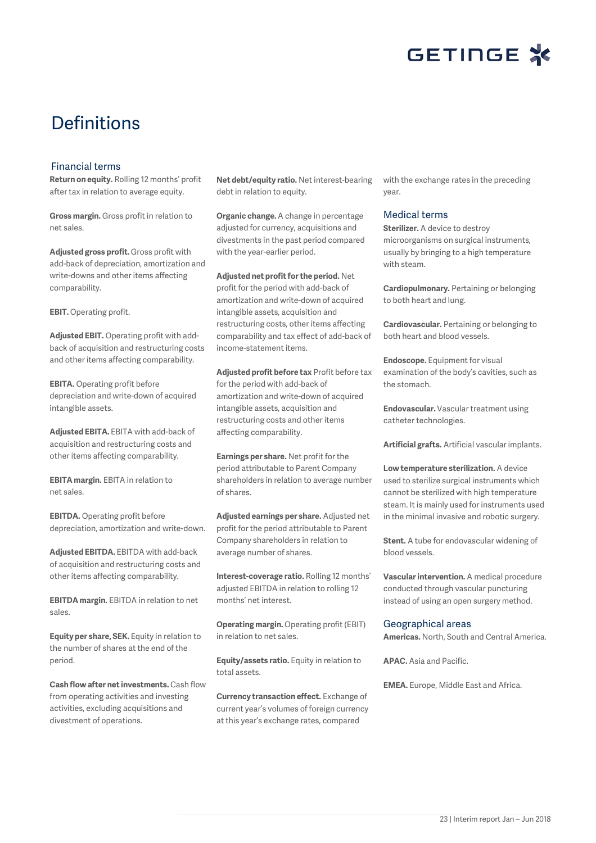

## Definitions

#### Financial terms

**Return on equity.** Rolling 12 months' profit after tax in relation to average equity.

**Gross margin.** Gross profit in relation to net sales.

**Adjusted gross profit.** Gross profit with add-back of depreciation, amortization and write-downs and other items affecting comparability.

**EBIT.** Operating profit.

**Adjusted EBIT.** Operating profit with addback of acquisition and restructuring costs and other items affecting comparability.

**EBITA.** Operating profit before depreciation and write-down of acquired intangible assets.

**Adjusted EBITA.** EBITA with add-back of acquisition and restructuring costs and other items affecting comparability.

**EBITA margin.** EBITA in relation to net sales.

**EBITDA.** Operating profit before depreciation, amortization and write-down.

**Adjusted EBITDA.** EBITDA with add-back of acquisition and restructuring costs and other items affecting comparability.

**EBITDA margin.** EBITDA in relation to net sales.

**Equity per share, SEK.** Equity in relation to the number of shares at the end of the period.

**Cash flow after net investments.** Cash flow from operating activities and investing activities, excluding acquisitions and divestment of operations.

**Net debt/equity ratio.** Net interest-bearing debt in relation to equity.

**Organic change.** A change in percentage adjusted for currency, acquisitions and divestments in the past period compared with the year-earlier period.

**Adjusted net profit for the period.** Net profit for the period with add-back of amortization and write-down of acquired intangible assets, acquisition and restructuring costs, other items affecting comparability and tax effect of add-back of income-statement items.

**Adjusted profit before tax** Profit before tax for the period with add-back of amortization and write-down of acquired intangible assets, acquisition and restructuring costs and other items affecting comparability.

**Earnings per share.** Net profit for the period attributable to Parent Company shareholders in relation to average number of shares.

**Adjusted earnings per share.** Adjusted net profit for the period attributable to Parent Company shareholders in relation to average number of shares.

**Interest-coverage ratio.** Rolling 12 months' adjusted EBITDA in relation to rolling 12 months' net interest.

**Operating margin.** Operating profit (EBIT) in relation to net sales.

**Equity/assets ratio.** Equity in relation to total assets.

**Currency transaction effect.** Exchange of current year's volumes of foreign currency at this year's exchange rates, compared

with the exchange rates in the preceding year.

#### Medical terms

**Sterilizer.** A device to destroy microorganisms on surgical instruments, usually by bringing to a high temperature with steam.

**Cardiopulmonary.** Pertaining or belonging to both heart and lung.

**Cardiovascular.** Pertaining or belonging to both heart and blood vessels.

**Endoscope.** Equipment for visual examination of the body's cavities, such as the stomach.

**Endovascular.** Vascular treatment using catheter technologies.

**Artificial grafts.** Artificial vascular implants.

**Low temperature sterilization.** A device used to sterilize surgical instruments which cannot be sterilized with high temperature steam. It is mainly used for instruments used in the minimal invasive and robotic surgery.

**Stent.** A tube for endovascular widening of blood vessels.

**Vascular intervention.** A medical procedure conducted through vascular puncturing instead of using an open surgery method.

#### Geographical areas

**Americas.** North, South and Central America.

**APAC.** Asia and Pacific.

**EMEA.** Europe, Middle East and Africa.